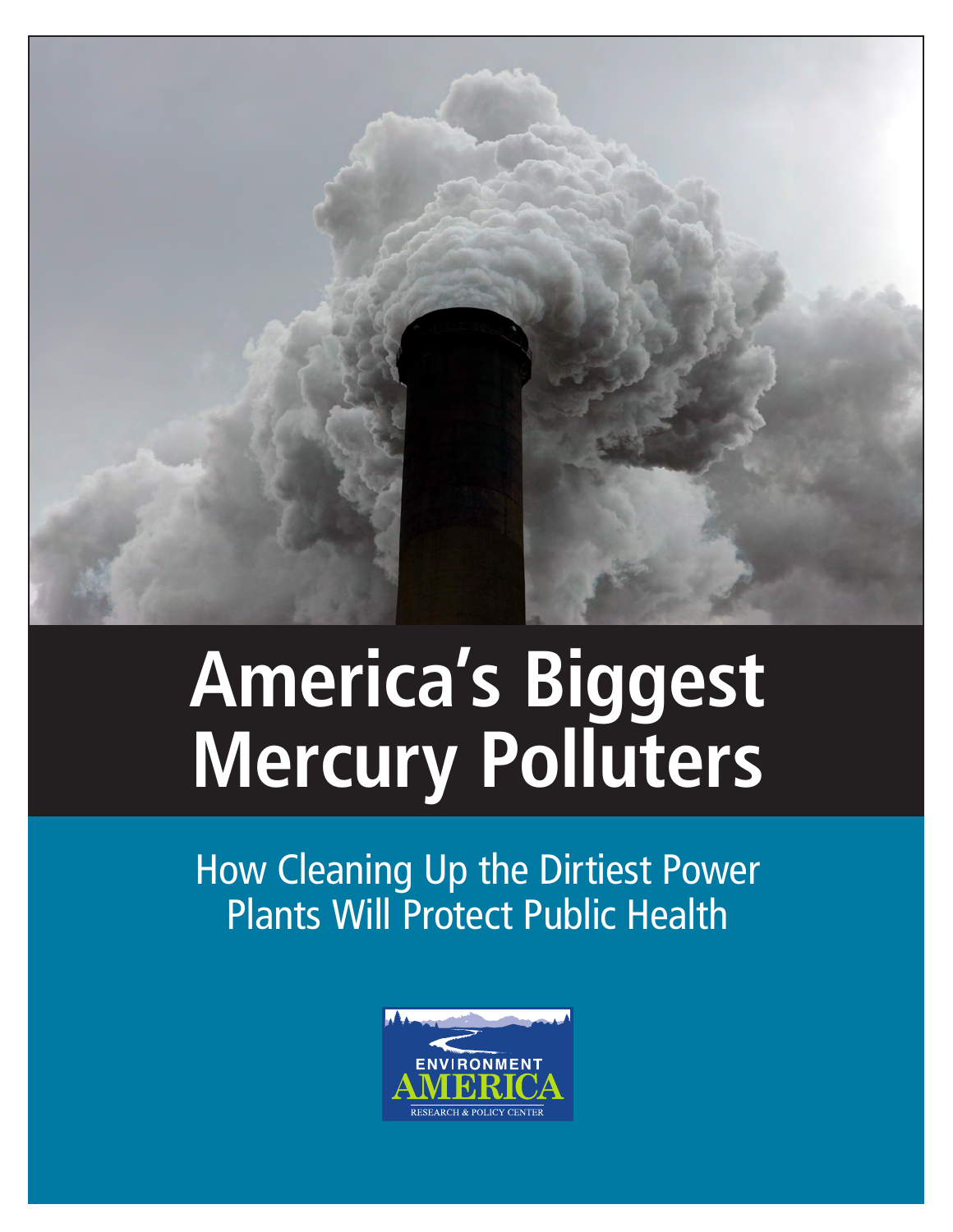

# **America's Biggest Mercury Polluters**

How Cleaning Up the Dirtiest Power Plants Will Protect Public Health

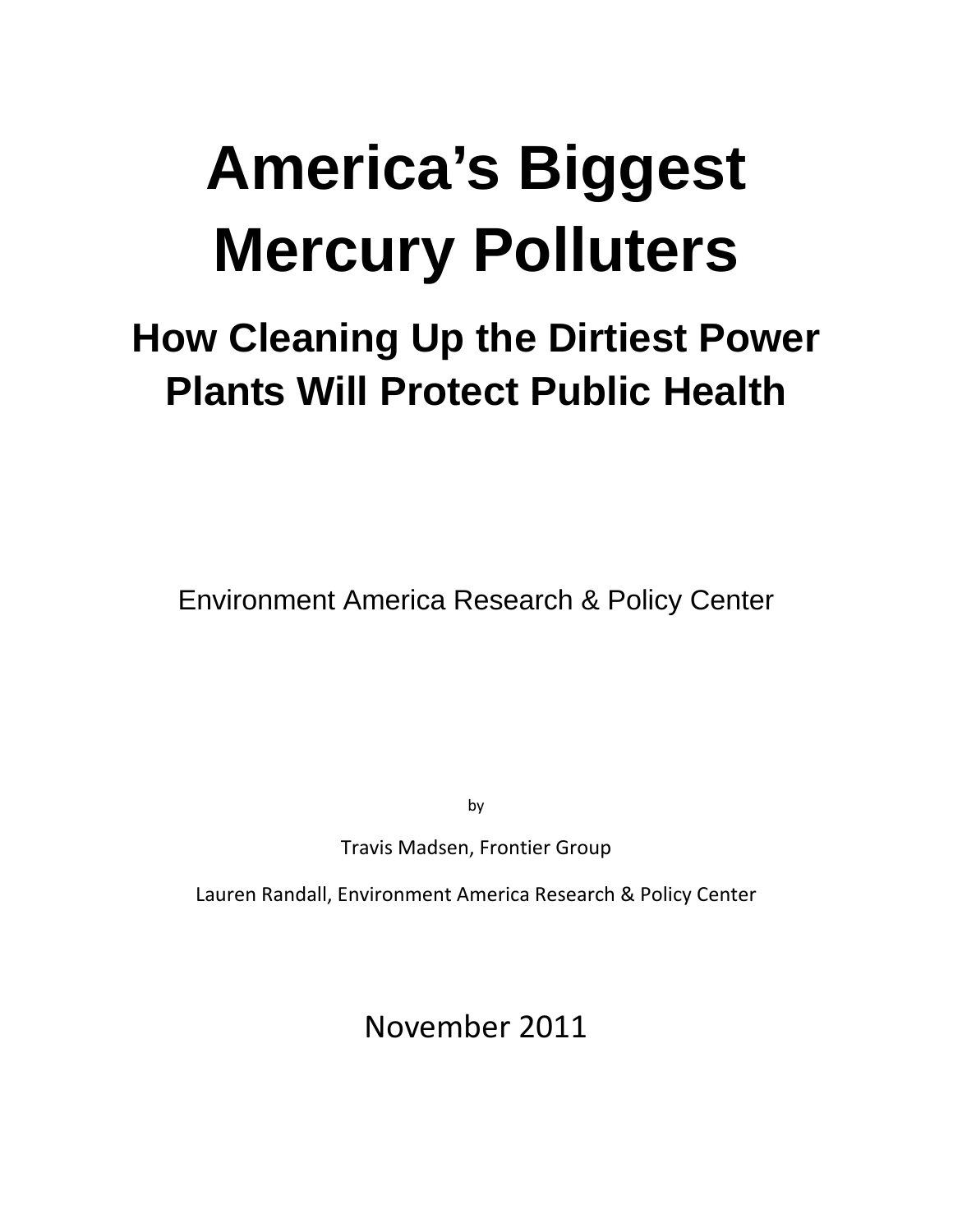# **America's Biggest Mercury Polluters**

# **How Cleaning Up the Dirtiest Power Plants Will Protect Public Health**

Environment America Research & Policy Center

by

Travis Madsen, Frontier Group

Lauren Randall, Environment America Research & Policy Center

November 2011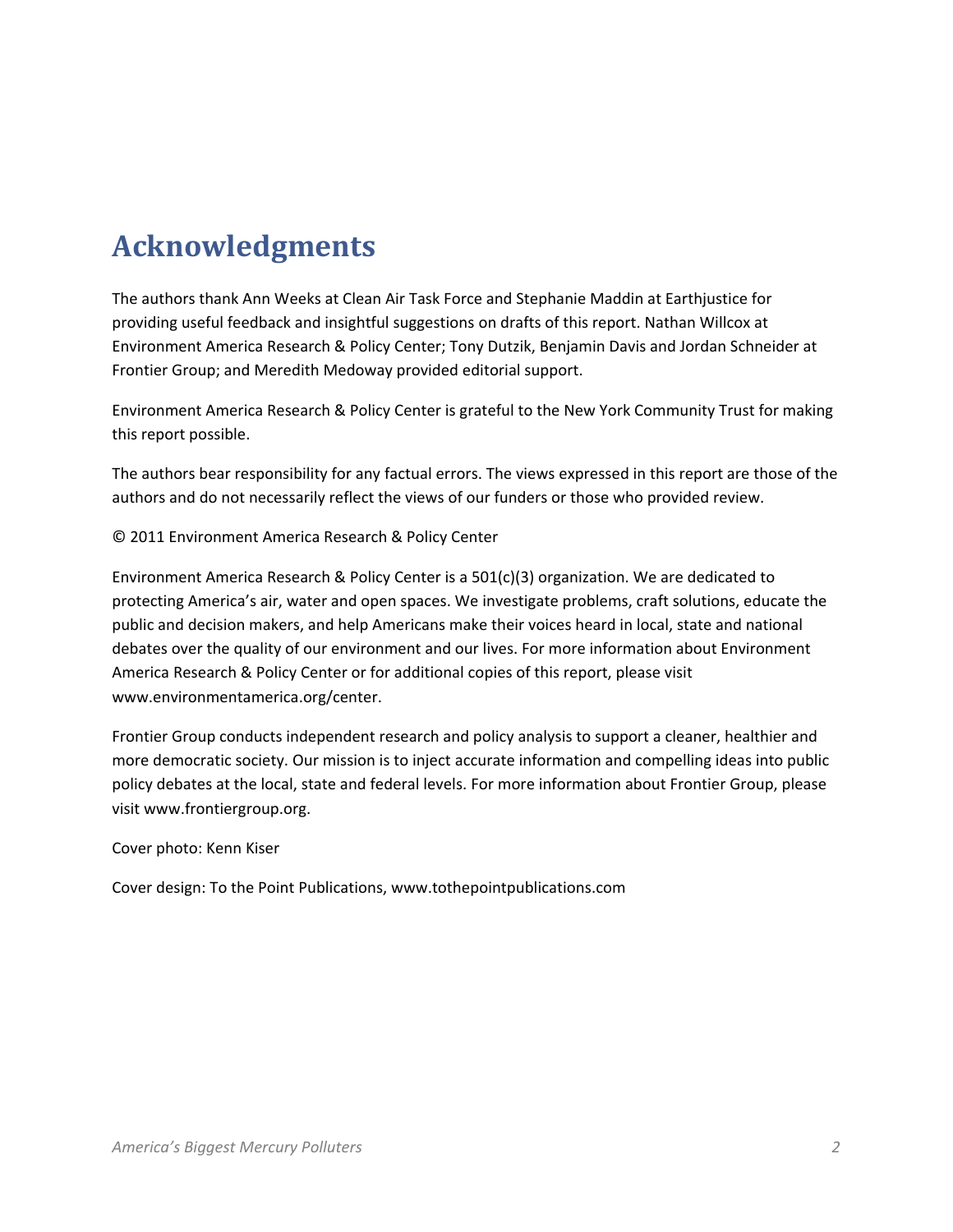# **Acknowledgments**

The authors thank Ann Weeks at Clean Air Task Force and Stephanie Maddin at Earthjustice for providing useful feedback and insightful suggestions on drafts of this report. Nathan Willcox at Environment America Research & Policy Center; Tony Dutzik, Benjamin Davis and Jordan Schneider at Frontier Group; and Meredith Medoway provided editorial support.

Environment America Research & Policy Center is grateful to the New York Community Trust for making this report possible.

The authors bear responsibility for any factual errors. The views expressed in this report are those of the authors and do not necessarily reflect the views of our funders or those who provided review.

© 2011 Environment America Research & Policy Center

Environment America Research & Policy Center is a 501(c)(3) organization. We are dedicated to protecting America's air, water and open spaces. We investigate problems, craft solutions, educate the public and decision makers, and help Americans make their voices heard in local, state and national debates over the quality of our environment and our lives. For more information about Environment America Research & Policy Center or for additional copies of this report, please visit www.environmentamerica.org/center.

Frontier Group conducts independent research and policy analysis to support a cleaner, healthier and more democratic society. Our mission is to inject accurate information and compelling ideas into public policy debates at the local, state and federal levels. For more information about Frontier Group, please visit www.frontiergroup.org.

Cover photo: Kenn Kiser

Cover design: To the Point Publications, www.tothepointpublications.com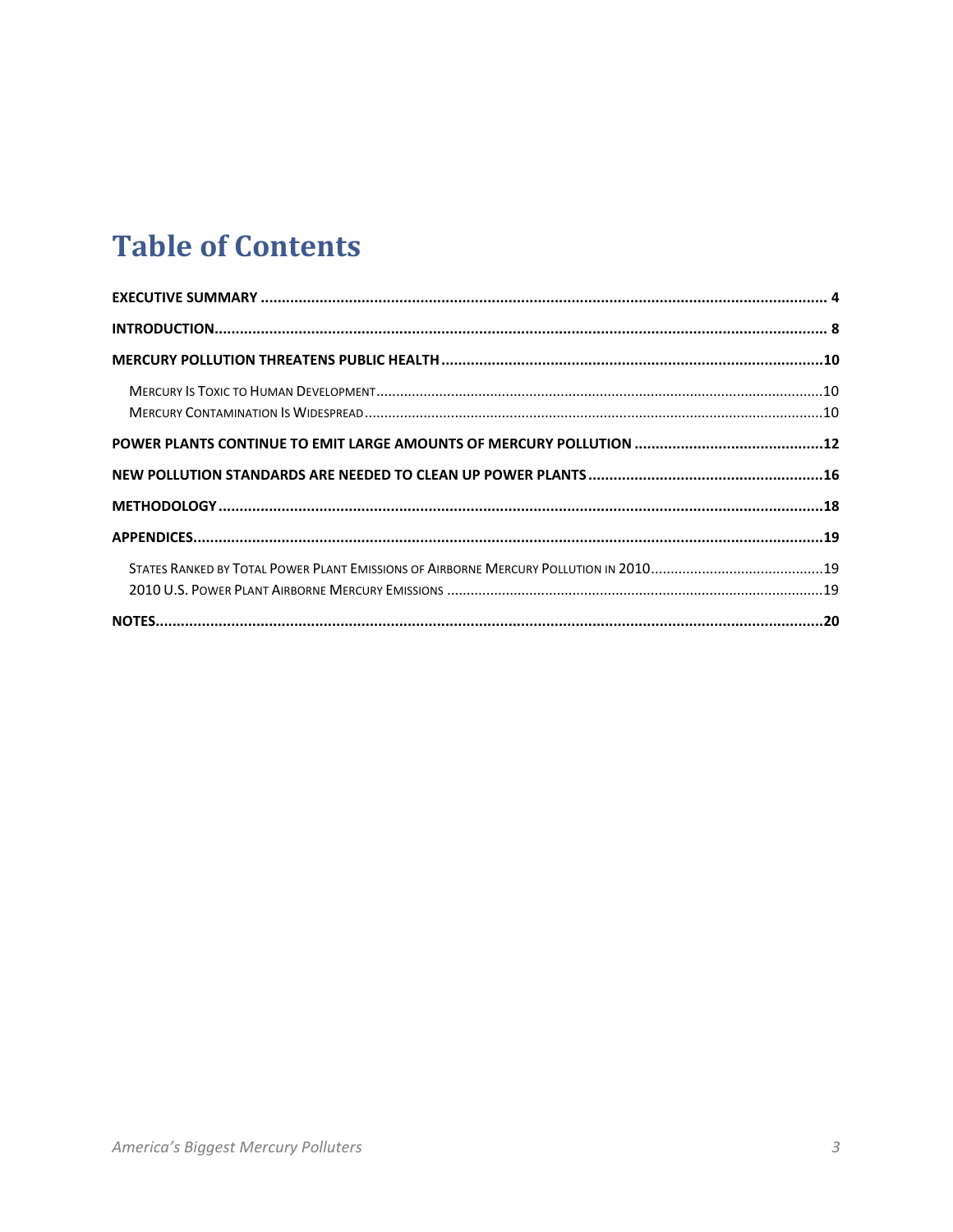# **Table of Contents**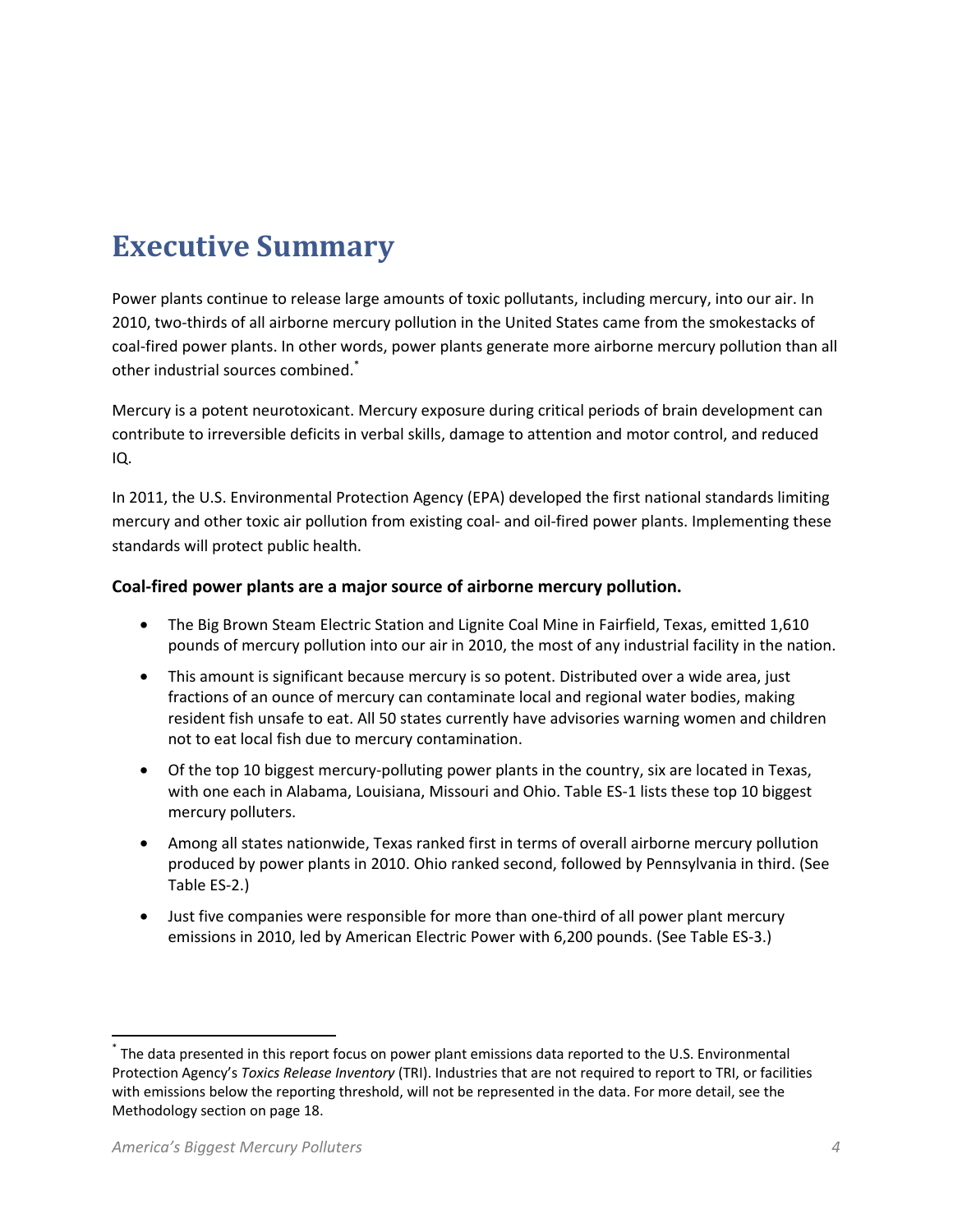# **Executive Summary**

Power plants continue to release large amounts of toxic pollutants, including mercury, into our air. In 2010, two-thirds of all airborne mercury pollution in the United States came from the smokestacks of coal-fired power plants. In other words, power plants generate more airborne mercury pollution than all other industrial sources combined.\*

Mercury is a potent neurotoxicant. Mercury exposure during critical periods of brain development can contribute to irreversible deficits in verbal skills, damage to attention and motor control, and reduced IQ.

In 2011, the U.S. Environmental Protection Agency (EPA) developed the first national standards limiting mercury and other toxic air pollution from existing coal- and oil-fired power plants. Implementing these standards will protect public health.

#### **Coal-fired power plants are a major source of airborne mercury pollution.**

- The Big Brown Steam Electric Station and Lignite Coal Mine in Fairfield, Texas, emitted 1,610 pounds of mercury pollution into our air in 2010, the most of any industrial facility in the nation.
- This amount is significant because mercury is so potent. Distributed over a wide area, just fractions of an ounce of mercury can contaminate local and regional water bodies, making resident fish unsafe to eat. All 50 states currently have advisories warning women and children not to eat local fish due to mercury contamination.
- Of the top 10 biggest mercury-polluting power plants in the country, six are located in Texas, with one each in Alabama, Louisiana, Missouri and Ohio. Table ES-1 lists these top 10 biggest mercury polluters.
- Among all states nationwide, Texas ranked first in terms of overall airborne mercury pollution produced by power plants in 2010. Ohio ranked second, followed by Pennsylvania in third. (See Table ES-2.)
- Just five companies were responsible for more than one-third of all power plant mercury emissions in 2010, led by American Electric Power with 6,200 pounds. (See Table ES-3.)

 $\overline{a}$ 

<sup>\*</sup> The data presented in this report focus on power plant emissions data reported to the U.S. Environmental Protection Agency's *Toxics Release Inventory* (TRI). Industries that are not required to report to TRI, or facilities with emissions below the reporting threshold, will not be represented in the data. For more detail, see the Methodology section on page 18.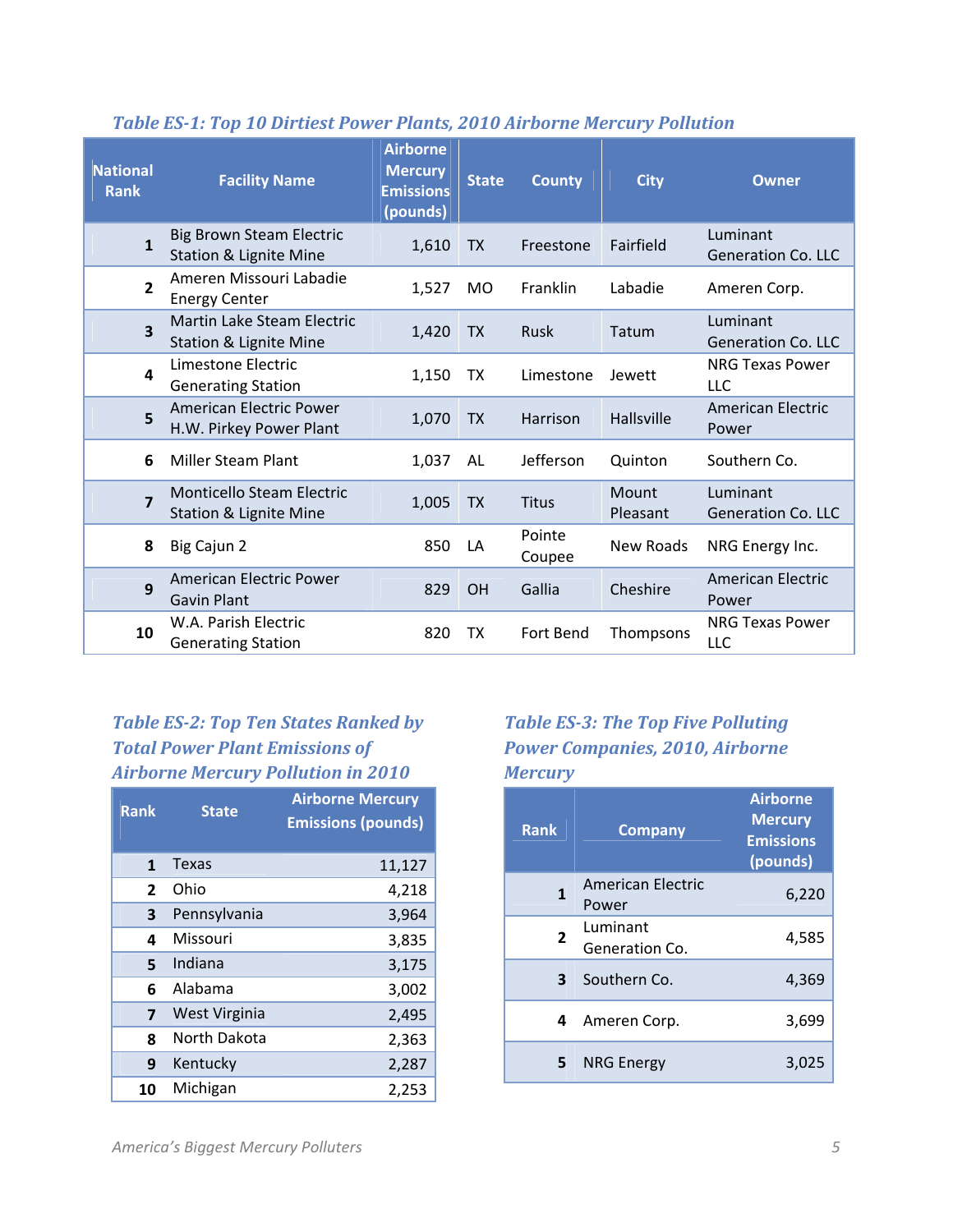| <b>National</b><br><b>Rank</b> | <b>Facility Name</b>                                                 | <b>Airborne</b><br><b>Mercury</b><br><b>Emissions</b><br>(pounds) | <b>State</b> | <b>County</b>    | <b>City</b>              | Owner                                 |
|--------------------------------|----------------------------------------------------------------------|-------------------------------------------------------------------|--------------|------------------|--------------------------|---------------------------------------|
| $\mathbf{1}$                   | <b>Big Brown Steam Electric</b><br><b>Station &amp; Lignite Mine</b> | 1,610                                                             | <b>TX</b>    | Freestone        | Fairfield                | Luminant<br><b>Generation Co. LLC</b> |
| $\overline{2}$                 | Ameren Missouri Labadie<br><b>Energy Center</b>                      | 1,527                                                             | <b>MO</b>    | Franklin         | Labadie                  | Ameren Corp.                          |
| $\overline{\mathbf{3}}$        | Martin Lake Steam Electric<br><b>Station &amp; Lignite Mine</b>      | 1,420                                                             | <b>TX</b>    | Rusk             | Tatum                    | Luminant<br><b>Generation Co. LLC</b> |
| $\overline{\mathbf{4}}$        | Limestone Electric<br><b>Generating Station</b>                      | 1,150                                                             | <b>TX</b>    | Limestone        | Jewett                   | <b>NRG Texas Power</b><br><b>LLC</b>  |
| 5                              | American Electric Power<br>H.W. Pirkey Power Plant                   | 1,070                                                             | <b>TX</b>    | Harrison         | <b>Hallsville</b>        | <b>American Electric</b><br>Power     |
| 6                              | <b>Miller Steam Plant</b>                                            | 1,037                                                             | AL           | Jefferson        | Quinton                  | Southern Co.                          |
| $\overline{\mathbf{z}}$        | Monticello Steam Electric<br><b>Station &amp; Lignite Mine</b>       | 1,005                                                             | <b>TX</b>    | <b>Titus</b>     | <b>Mount</b><br>Pleasant | Luminant<br><b>Generation Co. LLC</b> |
| 8                              | Big Cajun 2                                                          | 850                                                               | LA           | Pointe<br>Coupee | New Roads                | NRG Energy Inc.                       |
| 9                              | American Electric Power<br><b>Gavin Plant</b>                        | 829                                                               | OH           | Gallia           | Cheshire                 | American Electric<br>Power            |
| 10                             | W.A. Parish Electric<br><b>Generating Station</b>                    | 820                                                               | ТX           | Fort Bend        | Thompsons                | <b>NRG Texas Power</b><br>LLC         |

#### *Table ES-1: Top 10 Dirtiest Power Plants, 2010 Airborne Mercury Pollution*

## *Table ES-2: Top Ten States Ranked by Total Power Plant Emissions of Airborne Mercury Pollution in 2010*

| <b>Rank</b>    | <b>State</b>  | <b>Airborne Mercury</b><br><b>Emissions (pounds)</b> |
|----------------|---------------|------------------------------------------------------|
| $\mathbf{1}$   | Texas         | 11,127                                               |
| $\overline{2}$ | Ohio          | 4,218                                                |
| 3              | Pennsylvania  | 3,964                                                |
| 4              | Missouri      | 3,835                                                |
| 5              | Indiana       | 3,175                                                |
| 6              | Alabama       | 3,002                                                |
| 7              | West Virginia | 2,495                                                |
| 8              | North Dakota  | 2,363                                                |
| 9              | Kentucky      | 2,287                                                |
| 10             | Michigan      | 2,253                                                |

### *Table ES-3: The Top Five Polluting Power Companies, 2010, Airborne Mercury*

| <b>Rank</b>    | <b>Company</b>                    | <b>Airborne</b><br><b>Mercury</b><br><b>Emissions</b><br>(pounds) |
|----------------|-----------------------------------|-------------------------------------------------------------------|
| 1              | <b>American Electric</b><br>Power | 6,220                                                             |
| $\overline{2}$ | Luminant<br>Generation Co.        | 4,585                                                             |
| 3              | Southern Co.                      | 4,369                                                             |
| 4              | Ameren Corp.                      | 3,699                                                             |
| 5              | <b>NRG Energy</b>                 | 3.025                                                             |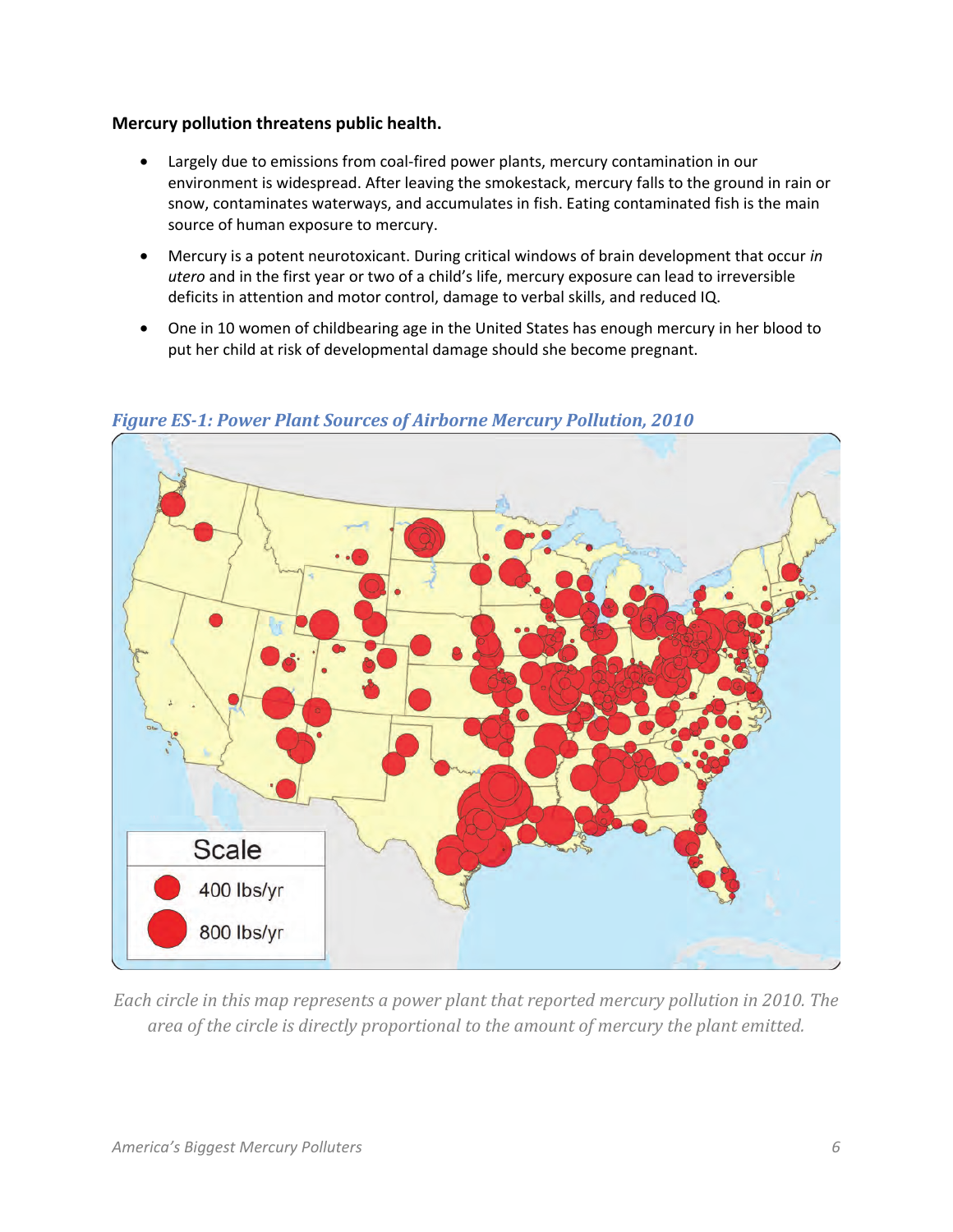#### **Mercury pollution threatens public health.**

- Largely due to emissions from coal-fired power plants, mercury contamination in our environment is widespread. After leaving the smokestack, mercury falls to the ground in rain or snow, contaminates waterways, and accumulates in fish. Eating contaminated fish is the main source of human exposure to mercury.
- Mercury is a potent neurotoxicant. During critical windows of brain development that occur *in utero* and in the first year or two of a child's life, mercury exposure can lead to irreversible deficits in attention and motor control, damage to verbal skills, and reduced IQ.
- One in 10 women of childbearing age in the United States has enough mercury in her blood to put her child at risk of developmental damage should she become pregnant.



*Figure ES-1: Power Plant Sources of Airborne Mercury Pollution, 2010* 

*Each circle in this map represents a power plant that reported mercury pollution in 2010. The area of the circle is directly proportional to the amount of mercury the plant emitted.*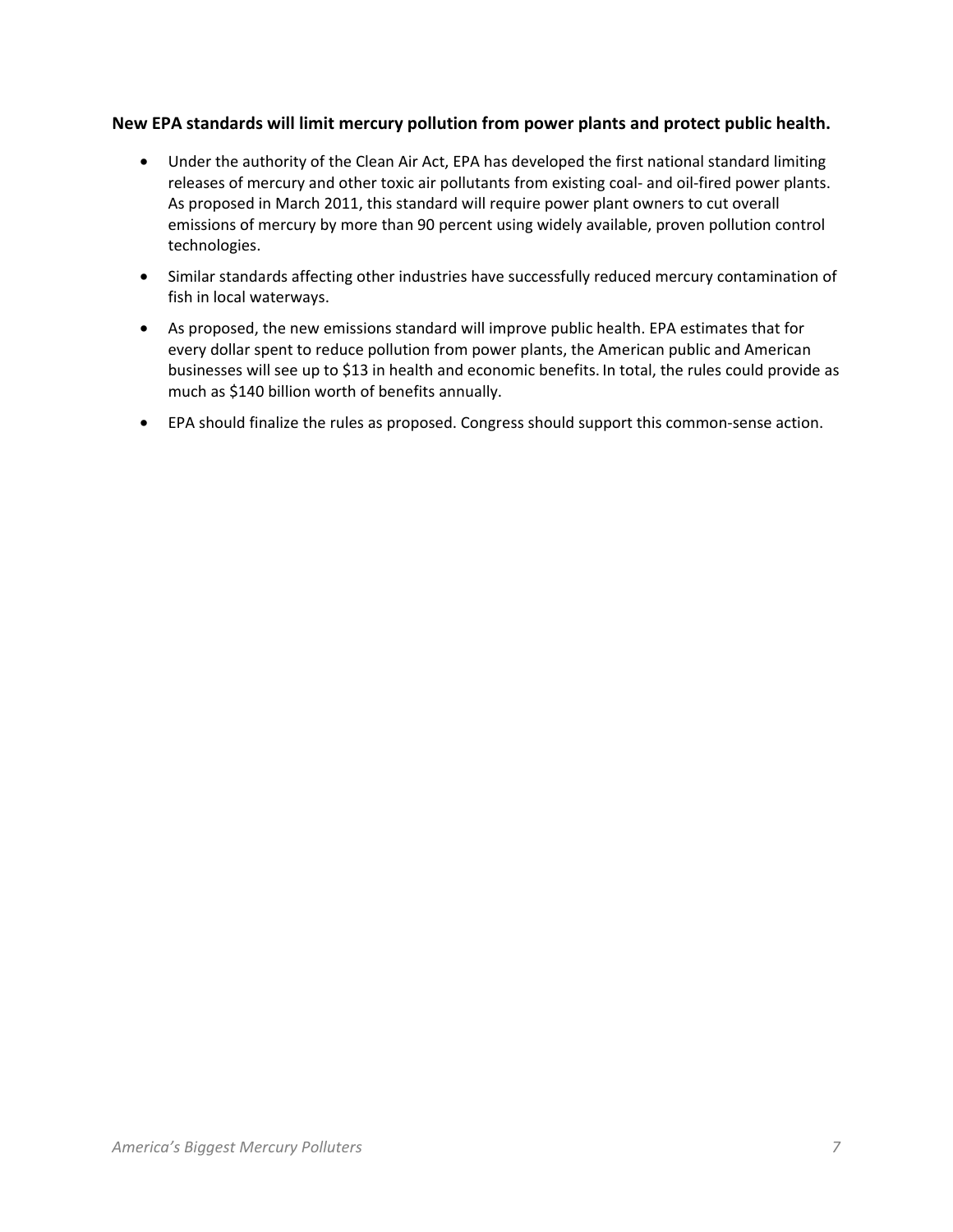#### **New EPA standards will limit mercury pollution from power plants and protect public health.**

- Under the authority of the Clean Air Act, EPA has developed the first national standard limiting releases of mercury and other toxic air pollutants from existing coal- and oil-fired power plants. As proposed in March 2011, this standard will require power plant owners to cut overall emissions of mercury by more than 90 percent using widely available, proven pollution control technologies.
- Similar standards affecting other industries have successfully reduced mercury contamination of fish in local waterways.
- As proposed, the new emissions standard will improve public health. EPA estimates that for every dollar spent to reduce pollution from power plants, the American public and American businesses will see up to \$13 in health and economic benefits. In total, the rules could provide as much as \$140 billion worth of benefits annually.
- EPA should finalize the rules as proposed. Congress should support this common-sense action.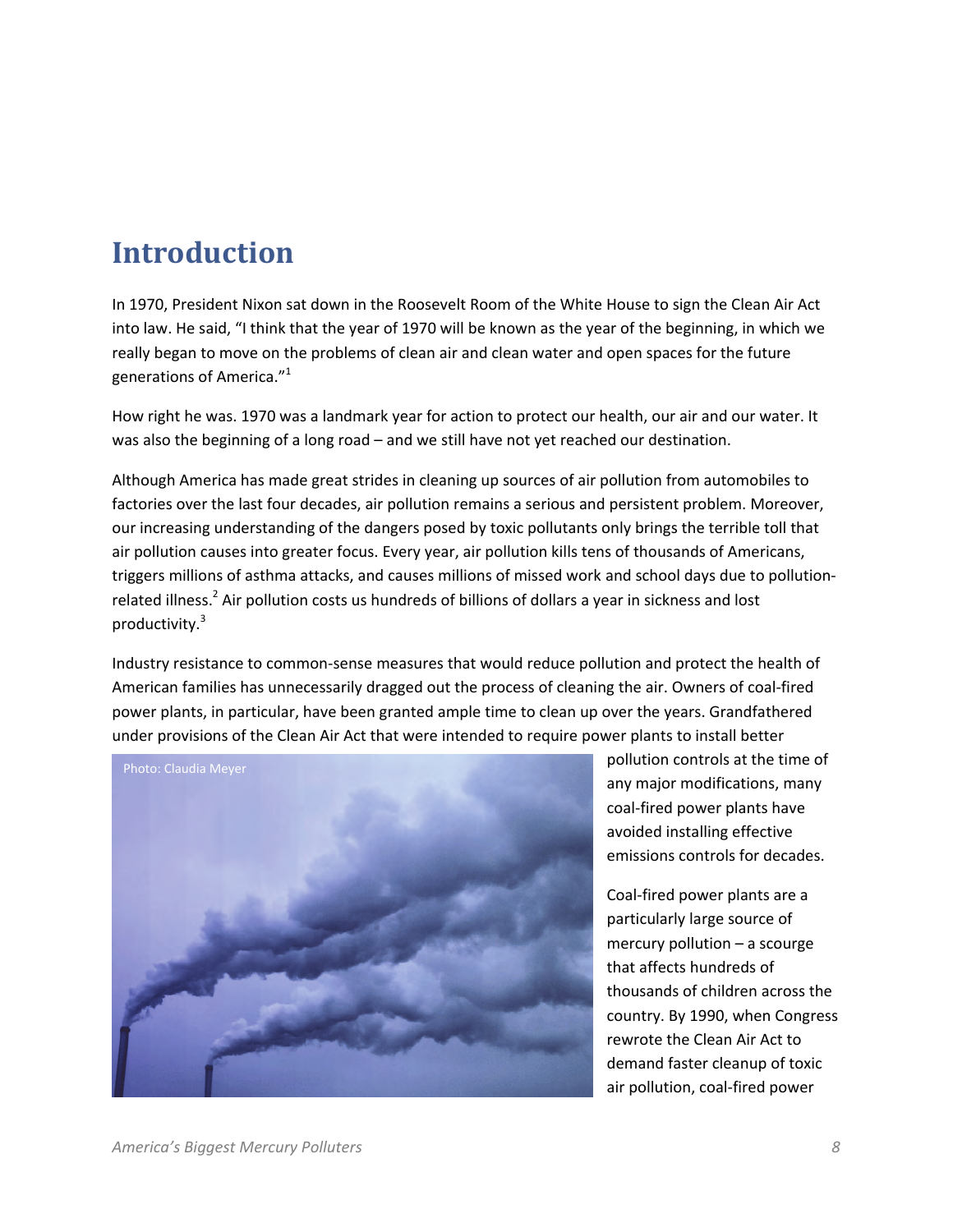## **Introduction**

In 1970, President Nixon sat down in the Roosevelt Room of the White House to sign the Clean Air Act into law. He said, "I think that the year of 1970 will be known as the year of the beginning, in which we really began to move on the problems of clean air and clean water and open spaces for the future generations of America."<sup>1</sup>

How right he was. 1970 was a landmark year for action to protect our health, our air and our water. It was also the beginning of a long road – and we still have not yet reached our destination.

Although America has made great strides in cleaning up sources of air pollution from automobiles to factories over the last four decades, air pollution remains a serious and persistent problem. Moreover, our increasing understanding of the dangers posed by toxic pollutants only brings the terrible toll that air pollution causes into greater focus. Every year, air pollution kills tens of thousands of Americans, triggers millions of asthma attacks, and causes millions of missed work and school days due to pollutionrelated illness.<sup>2</sup> Air pollution costs us hundreds of billions of dollars a year in sickness and lost productivity.<sup>3</sup>

Industry resistance to common-sense measures that would reduce pollution and protect the health of American families has unnecessarily dragged out the process of cleaning the air. Owners of coal-fired power plants, in particular, have been granted ample time to clean up over the years. Grandfathered under provisions of the Clean Air Act that were intended to require power plants to install better



pollution controls at the time of any major modifications, many coal-fired power plants have avoided installing effective emissions controls for decades.

Coal-fired power plants are a particularly large source of mercury pollution – a scourge that affects hundreds of thousands of children across the country. By 1990, when Congress rewrote the Clean Air Act to demand faster cleanup of toxic air pollution, coal-fired power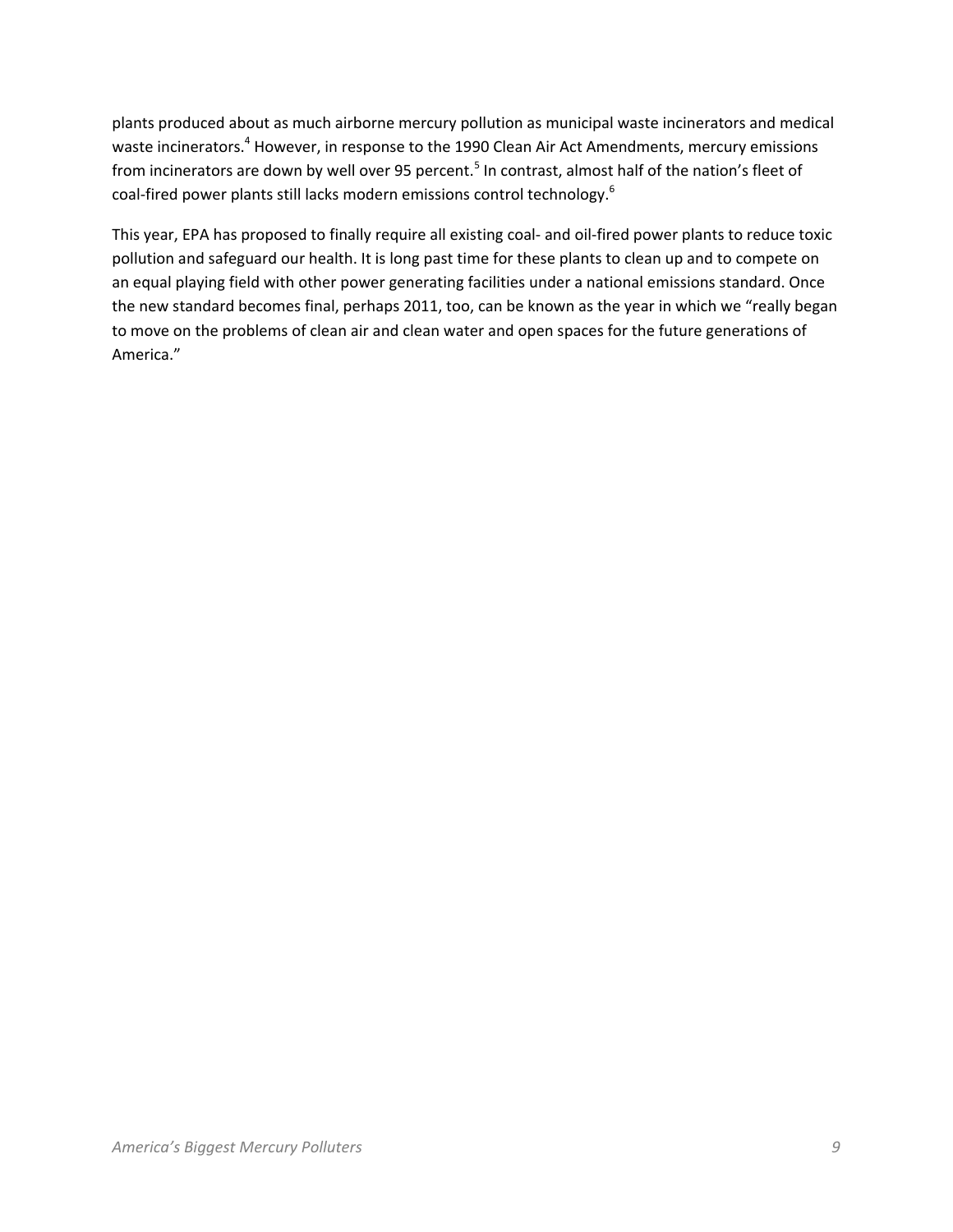plants produced about as much airborne mercury pollution as municipal waste incinerators and medical waste incinerators.<sup>4</sup> However, in response to the 1990 Clean Air Act Amendments, mercury emissions from incinerators are down by well over 95 percent.<sup>5</sup> In contrast, almost half of the nation's fleet of coal-fired power plants still lacks modern emissions control technology.<sup>6</sup>

This year, EPA has proposed to finally require all existing coal- and oil-fired power plants to reduce toxic pollution and safeguard our health. It is long past time for these plants to clean up and to compete on an equal playing field with other power generating facilities under a national emissions standard. Once the new standard becomes final, perhaps 2011, too, can be known as the year in which we "really began to move on the problems of clean air and clean water and open spaces for the future generations of America."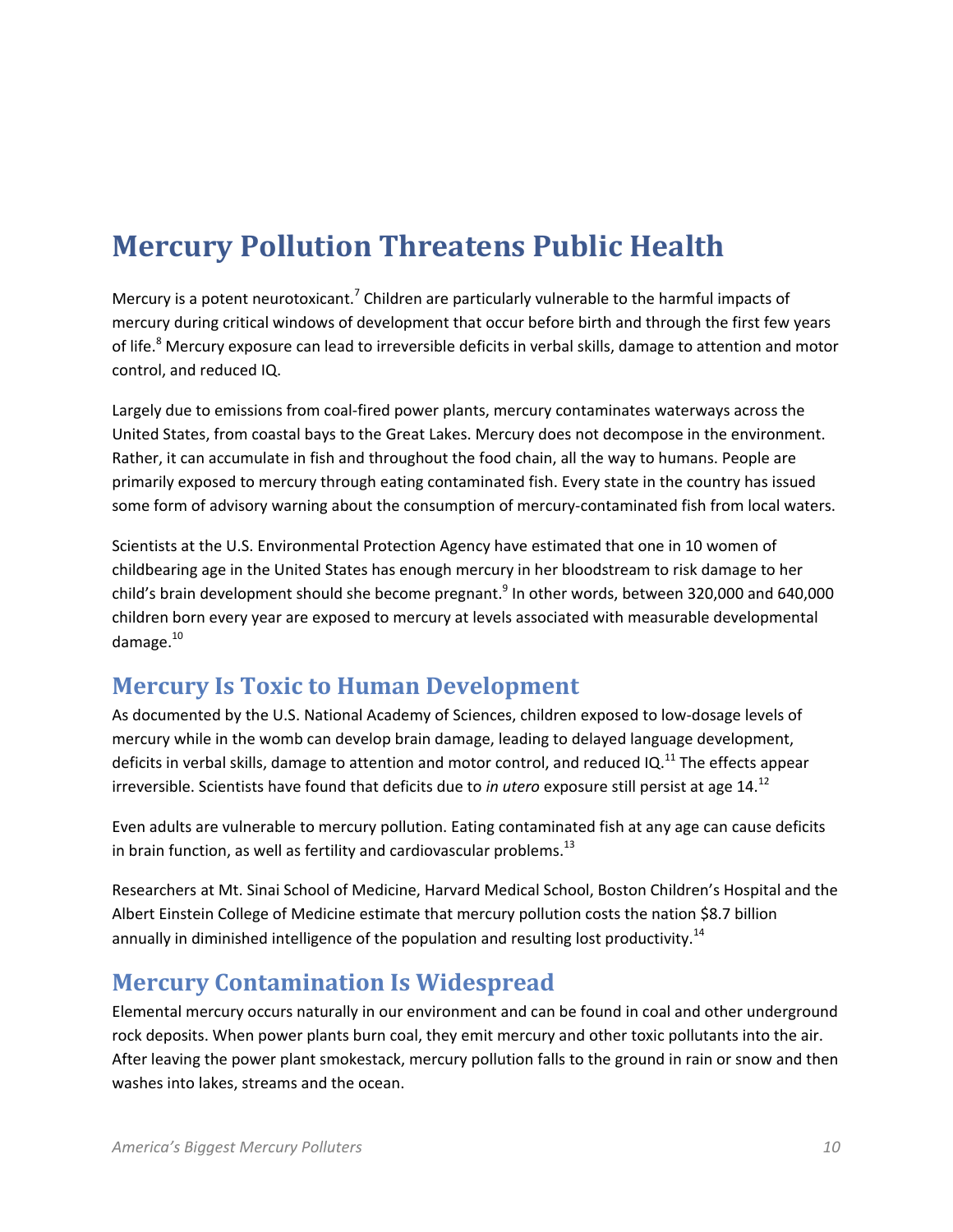# **Mercury Pollution Threatens Public Health**

Mercury is a potent neurotoxicant.<sup>7</sup> Children are particularly vulnerable to the harmful impacts of mercury during critical windows of development that occur before birth and through the first few years of life.<sup>8</sup> Mercury exposure can lead to irreversible deficits in verbal skills, damage to attention and motor control, and reduced IQ.

Largely due to emissions from coal-fired power plants, mercury contaminates waterways across the United States, from coastal bays to the Great Lakes. Mercury does not decompose in the environment. Rather, it can accumulate in fish and throughout the food chain, all the way to humans. People are primarily exposed to mercury through eating contaminated fish. Every state in the country has issued some form of advisory warning about the consumption of mercury-contaminated fish from local waters.

Scientists at the U.S. Environmental Protection Agency have estimated that one in 10 women of childbearing age in the United States has enough mercury in her bloodstream to risk damage to her child's brain development should she become pregnant.<sup>9</sup> In other words, between 320,000 and 640,000 children born every year are exposed to mercury at levels associated with measurable developmental damage. $10$ 

## **Mercury Is Toxic to Human Development**

As documented by the U.S. National Academy of Sciences, children exposed to low-dosage levels of mercury while in the womb can develop brain damage, leading to delayed language development, deficits in verbal skills, damage to attention and motor control, and reduced IQ.<sup>11</sup> The effects appear irreversible. Scientists have found that deficits due to *in utero* exposure still persist at age 14.<sup>12</sup>

Even adults are vulnerable to mercury pollution. Eating contaminated fish at any age can cause deficits in brain function, as well as fertility and cardiovascular problems. $^{13}$ 

Researchers at Mt. Sinai School of Medicine, Harvard Medical School, Boston Children's Hospital and the Albert Einstein College of Medicine estimate that mercury pollution costs the nation \$8.7 billion annually in diminished intelligence of the population and resulting lost productivity.<sup>14</sup>

## **Mercury Contamination Is Widespread**

Elemental mercury occurs naturally in our environment and can be found in coal and other underground rock deposits. When power plants burn coal, they emit mercury and other toxic pollutants into the air. After leaving the power plant smokestack, mercury pollution falls to the ground in rain or snow and then washes into lakes, streams and the ocean.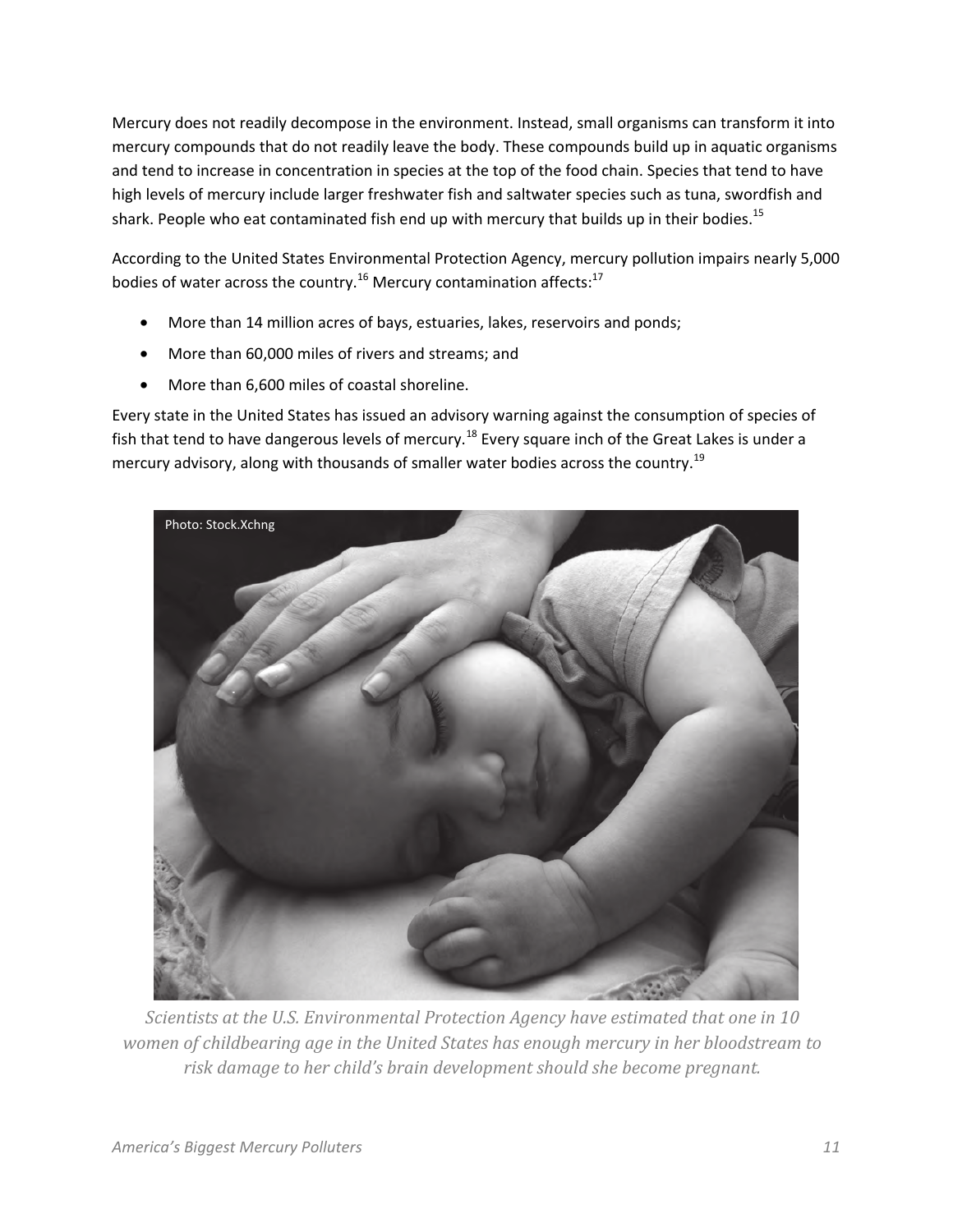Mercury does not readily decompose in the environment. Instead, small organisms can transform it into mercury compounds that do not readily leave the body. These compounds build up in aquatic organisms and tend to increase in concentration in species at the top of the food chain. Species that tend to have high levels of mercury include larger freshwater fish and saltwater species such as tuna, swordfish and shark. People who eat contaminated fish end up with mercury that builds up in their bodies.<sup>15</sup>

According to the United States Environmental Protection Agency, mercury pollution impairs nearly 5,000 bodies of water across the country.<sup>16</sup> Mercury contamination affects:<sup>17</sup>

- More than 14 million acres of bays, estuaries, lakes, reservoirs and ponds;
- More than 60,000 miles of rivers and streams; and
- More than 6,600 miles of coastal shoreline.

Every state in the United States has issued an advisory warning against the consumption of species of fish that tend to have dangerous levels of mercury.<sup>18</sup> Every square inch of the Great Lakes is under a mercury advisory, along with thousands of smaller water bodies across the country.<sup>19</sup>



*Scientists at the U.S. Environmental Protection Agency have estimated that one in 10 women of childbearing age in the United States has enough mercury in her bloodstream to risk damage to her child's brain development should she become pregnant.*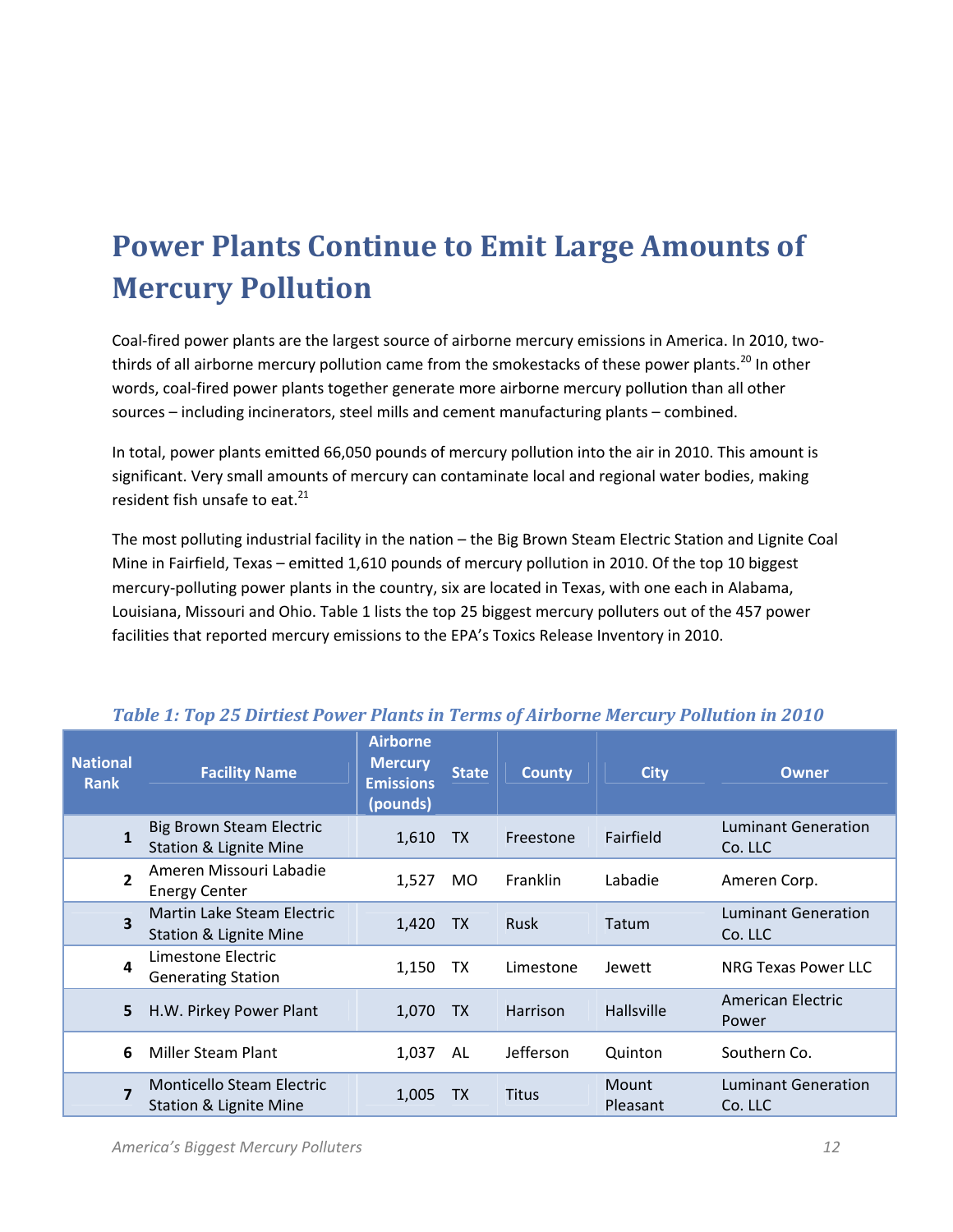# **Power Plants Continue to Emit Large Amounts of Mercury Pollution**

Coal-fired power plants are the largest source of airborne mercury emissions in America. In 2010, twothirds of all airborne mercury pollution came from the smokestacks of these power plants.<sup>20</sup> In other words, coal-fired power plants together generate more airborne mercury pollution than all other sources – including incinerators, steel mills and cement manufacturing plants – combined.

In total, power plants emitted 66,050 pounds of mercury pollution into the air in 2010. This amount is significant. Very small amounts of mercury can contaminate local and regional water bodies, making resident fish unsafe to eat. $^{21}$ 

The most polluting industrial facility in the nation – the Big Brown Steam Electric Station and Lignite Coal Mine in Fairfield, Texas – emitted 1,610 pounds of mercury pollution in 2010. Of the top 10 biggest mercury-polluting power plants in the country, six are located in Texas, with one each in Alabama, Louisiana, Missouri and Ohio. Table 1 lists the top 25 biggest mercury polluters out of the 457 power facilities that reported mercury emissions to the EPA's Toxics Release Inventory in 2010.

| <b>National</b><br><b>Rank</b> | <b>Facility Name</b>                                                  | <b>Airborne</b><br><b>Mercury</b><br><b>Emissions</b><br>(pounds) | <b>State</b> | <b>County</b>    | <b>City</b>       | <b>Owner</b>                          |
|--------------------------------|-----------------------------------------------------------------------|-------------------------------------------------------------------|--------------|------------------|-------------------|---------------------------------------|
| $\mathbf{1}$                   | <b>Big Brown Steam Electric</b><br><b>Station &amp; Lignite Mine</b>  | 1,610                                                             | <b>TX</b>    | Freestone        | Fairfield         | <b>Luminant Generation</b><br>Co. LLC |
| $\overline{2}$                 | Ameren Missouri Labadie<br><b>Energy Center</b>                       | 1,527                                                             | MO.          | <b>Franklin</b>  | Labadie           | Ameren Corp.                          |
| 3                              | Martin Lake Steam Electric<br><b>Station &amp; Lignite Mine</b>       | 1,420                                                             | <b>TX</b>    | <b>Rusk</b>      | Tatum             | <b>Luminant Generation</b><br>Co. LLC |
| 4                              | Limestone Electric<br><b>Generating Station</b>                       | 1,150                                                             | TX           | Limestone        | Jewett            | NRG Texas Power LLC                   |
| 5                              | H.W. Pirkey Power Plant                                               | 1,070                                                             | TX           | Harrison         | <b>Hallsville</b> | American Electric<br>Power            |
| 6                              | <b>Miller Steam Plant</b>                                             | 1,037                                                             | AL           | <b>Jefferson</b> | Quinton           | Southern Co.                          |
| $\overline{7}$                 | <b>Monticello Steam Electric</b><br><b>Station &amp; Lignite Mine</b> | 1,005                                                             | <b>TX</b>    | <b>Titus</b>     | Mount<br>Pleasant | <b>Luminant Generation</b><br>Co. LLC |

#### *Table 1: Top 25 Dirtiest Power Plants in Terms of Airborne Mercury Pollution in 2010*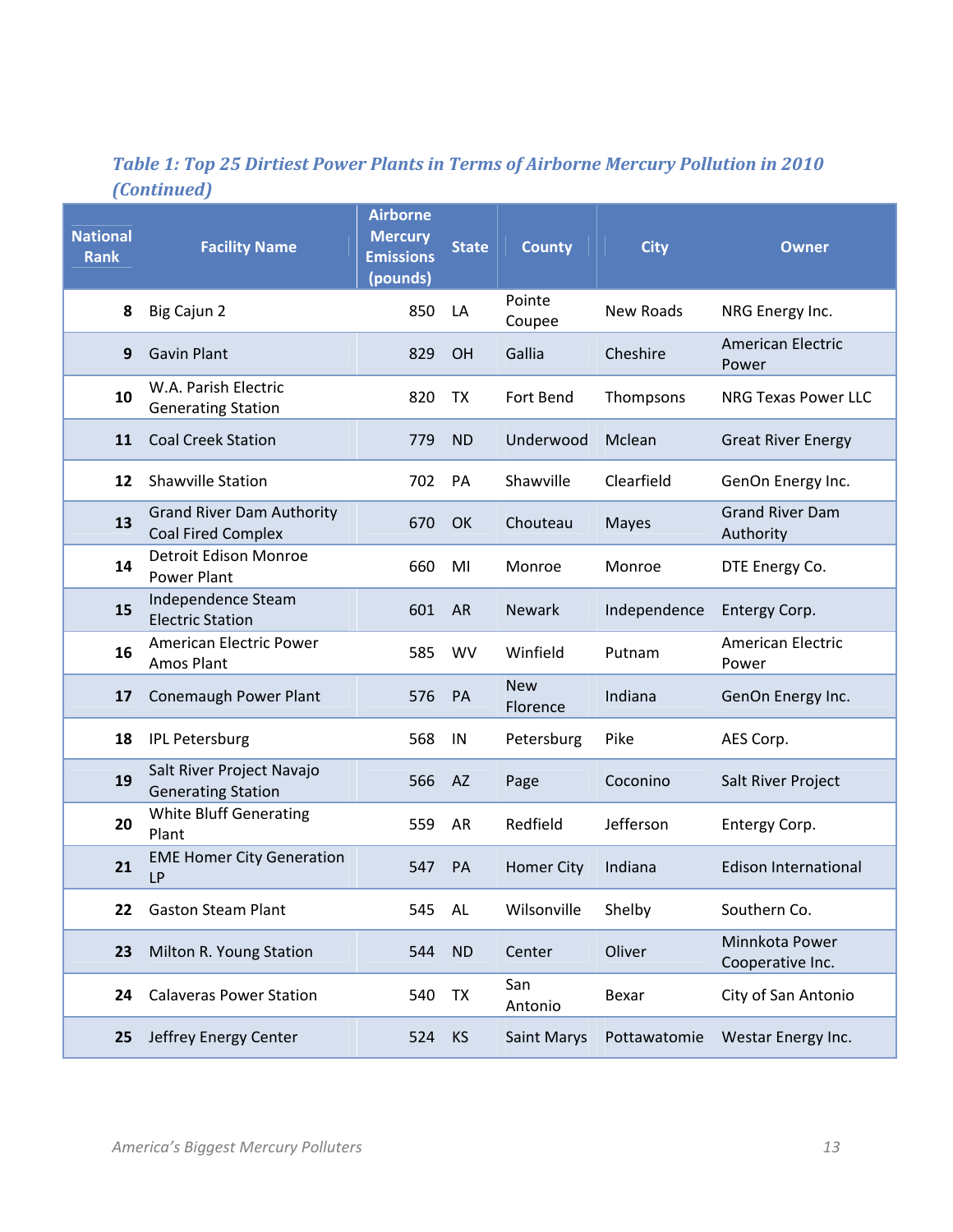## *Table 1: Top 25 Dirtiest Power Plants in Terms of Airborne Mercury Pollution in 2010 (Continued)*

| <b>National</b><br><b>Rank</b> | <b>Facility Name</b>                                          | <b>Airborne</b><br><b>Mercury</b><br><b>Emissions</b><br>(pounds) | <b>State</b> | <b>County</b>          | <b>City</b>  | <b>Owner</b>                        |
|--------------------------------|---------------------------------------------------------------|-------------------------------------------------------------------|--------------|------------------------|--------------|-------------------------------------|
| 8                              | Big Cajun 2                                                   | 850                                                               | LA           | Pointe<br>Coupee       | New Roads    | NRG Energy Inc.                     |
| 9                              | <b>Gavin Plant</b>                                            | 829                                                               | <b>OH</b>    | Gallia                 | Cheshire     | <b>American Electric</b><br>Power   |
| 10                             | W.A. Parish Electric<br><b>Generating Station</b>             | 820                                                               | TX           | Fort Bend              | Thompsons    | <b>NRG Texas Power LLC</b>          |
| 11                             | <b>Coal Creek Station</b>                                     | 779                                                               | <b>ND</b>    | Underwood              | Mclean       | <b>Great River Energy</b>           |
| 12                             | <b>Shawville Station</b>                                      | 702                                                               | PA           | Shawville              | Clearfield   | GenOn Energy Inc.                   |
| 13                             | <b>Grand River Dam Authority</b><br><b>Coal Fired Complex</b> | 670                                                               | OK           | Chouteau               | <b>Mayes</b> | <b>Grand River Dam</b><br>Authority |
| 14                             | Detroit Edison Monroe<br><b>Power Plant</b>                   | 660                                                               | MI           | Monroe                 | Monroe       | DTE Energy Co.                      |
| 15                             | Independence Steam<br><b>Electric Station</b>                 | 601                                                               | <b>AR</b>    | <b>Newark</b>          | Independence | Entergy Corp.                       |
| 16                             | American Electric Power<br>Amos Plant                         | 585                                                               | <b>WV</b>    | Winfield               | Putnam       | <b>American Electric</b><br>Power   |
| 17                             | <b>Conemaugh Power Plant</b>                                  | 576                                                               | <b>PA</b>    | <b>New</b><br>Florence | Indiana      | GenOn Energy Inc.                   |
| 18                             | <b>IPL Petersburg</b>                                         | 568                                                               | IN           | Petersburg             | Pike         | AES Corp.                           |
| 19                             | Salt River Project Navajo<br><b>Generating Station</b>        | 566                                                               | <b>AZ</b>    | Page                   | Coconino     | Salt River Project                  |
| 20                             | <b>White Bluff Generating</b><br>Plant                        | 559                                                               | AR           | Redfield               | Jefferson    | Entergy Corp.                       |
| 21                             | <b>EME Homer City Generation</b><br><b>LP</b>                 | 547                                                               | <b>PA</b>    | <b>Homer City</b>      | Indiana      | <b>Edison International</b>         |
| 22                             | <b>Gaston Steam Plant</b>                                     | 545                                                               | <b>AL</b>    | Wilsonville            | Shelby       | Southern Co.                        |
| 23                             | Milton R. Young Station                                       | 544                                                               | <b>ND</b>    | Center                 | Oliver       | Minnkota Power<br>Cooperative Inc.  |
| 24                             | <b>Calaveras Power Station</b>                                | 540                                                               | TX           | San<br>Antonio         | Bexar        | City of San Antonio                 |
| 25                             | Jeffrey Energy Center                                         | 524                                                               | <b>KS</b>    | Saint Marys            | Pottawatomie | Westar Energy Inc.                  |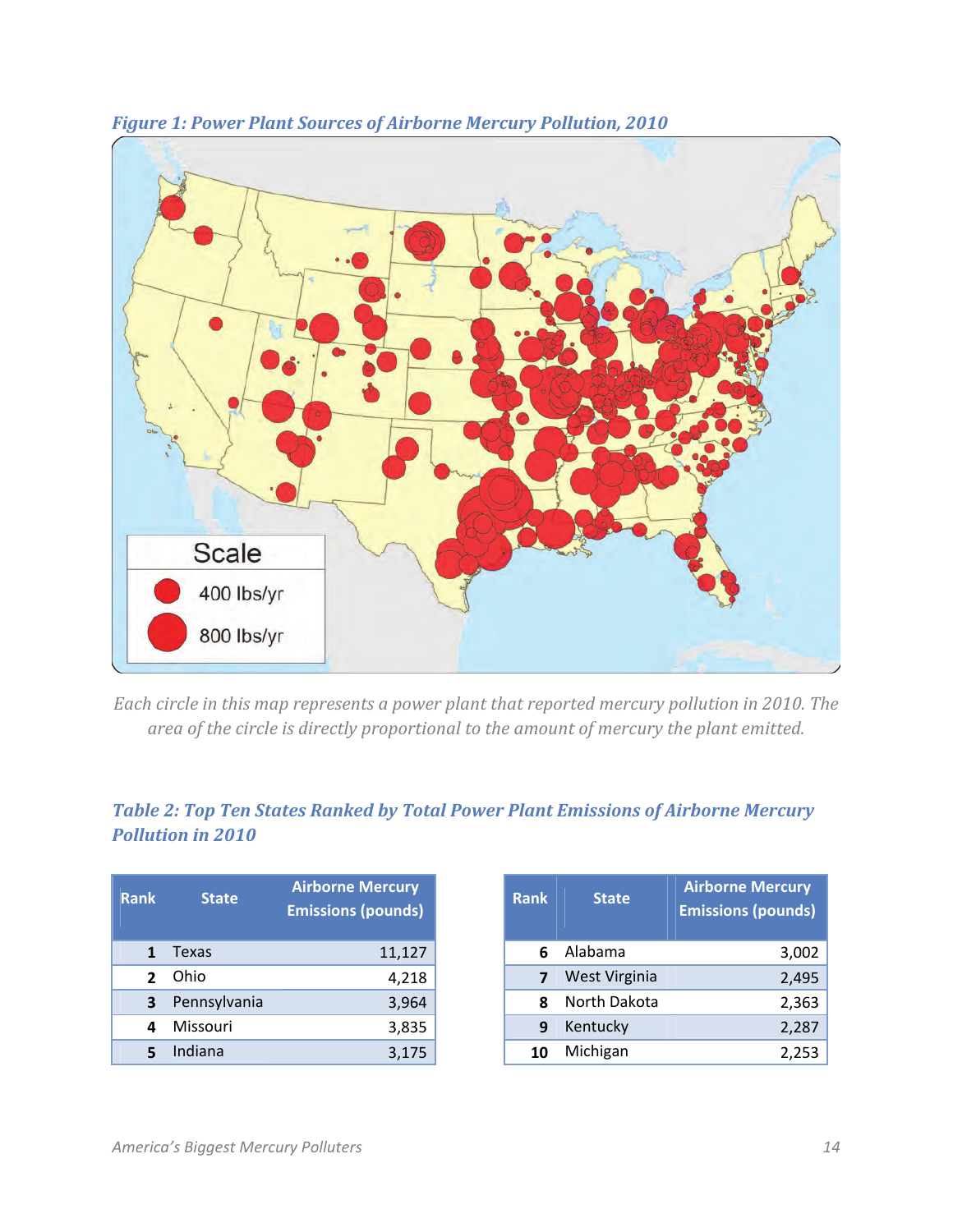



*Each circle in this map represents a power plant that reported mercury pollution in 2010. The area of the circle is directly proportional to the amount of mercury the plant emitted.* 

## *Table 2: Top Ten States Ranked by Total Power Plant Emissions of Airborne Mercury Pollution in 2010*

| <b>Rank</b>    | <b>State</b> | <b>Airborne Mercury</b><br><b>Emissions (pounds)</b> |
|----------------|--------------|------------------------------------------------------|
|                | <b>Texas</b> | 11,127                                               |
| $\overline{2}$ | Ohio         | 4,218                                                |
|                | Pennsylvania | 3,964                                                |
|                | Missouri     | 3,835                                                |
|                | Indiana      | 3,175                                                |

| <b>Rank</b> | <b>State</b>  | <b>Airborne Mercury</b><br><b>Emissions (pounds)</b> |
|-------------|---------------|------------------------------------------------------|
| հ           | Alabama       | 3,002                                                |
|             | West Virginia | 2,495                                                |
| Ջ           | North Dakota  | 2,363                                                |
| q           | Kentucky      | 2,287                                                |
|             | Michigan      | 2,253                                                |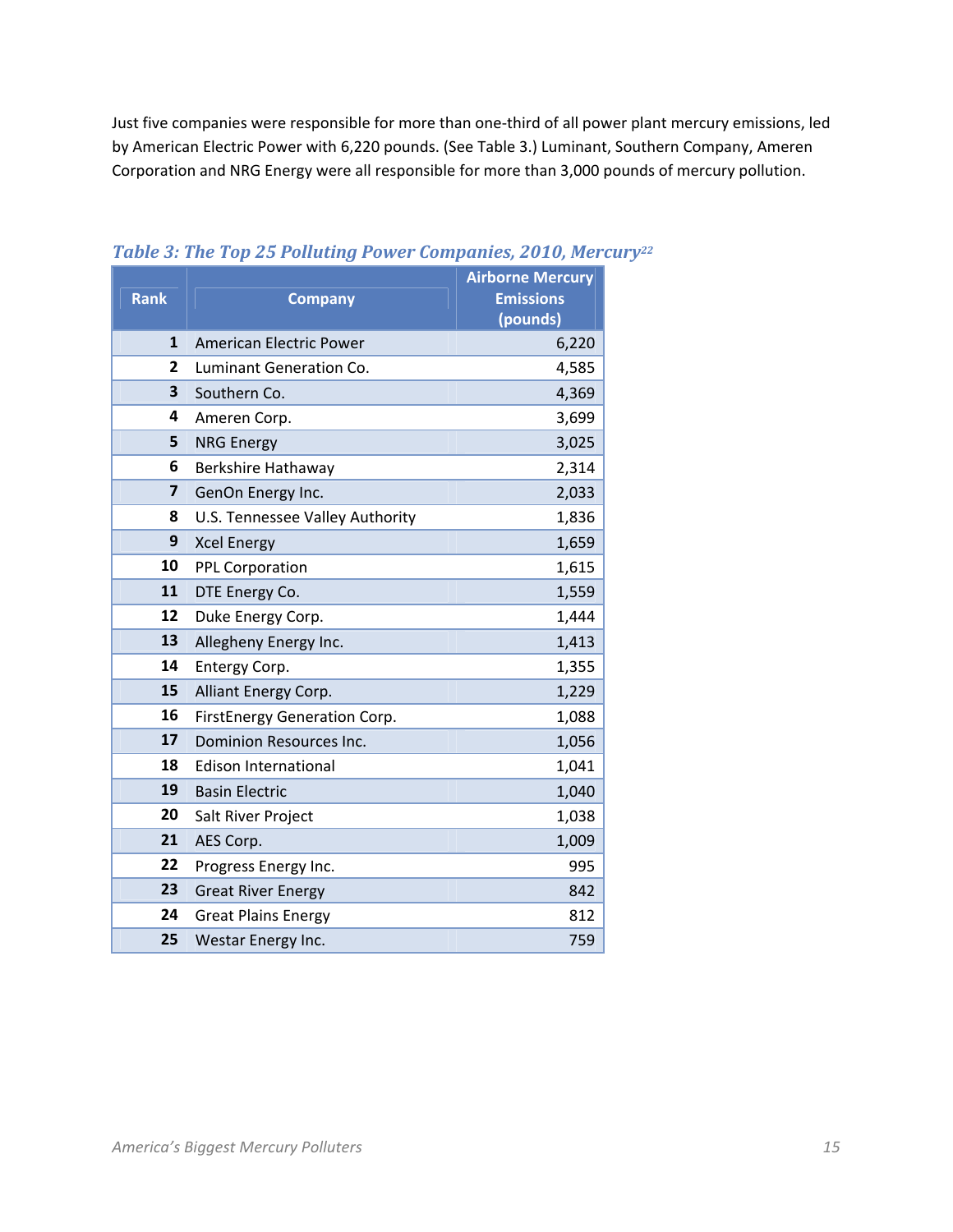Just five companies were responsible for more than one-third of all power plant mercury emissions, led by American Electric Power with 6,220 pounds. (See Table 3.) Luminant, Southern Company, Ameren Corporation and NRG Energy were all responsible for more than 3,000 pounds of mercury pollution.

|                         |                                 | <b>Airborne Mercury</b> |
|-------------------------|---------------------------------|-------------------------|
| <b>Rank</b>             | <b>Company</b>                  | <b>Emissions</b>        |
|                         |                                 | (pounds)                |
| $\mathbf{1}$            | <b>American Electric Power</b>  | 6,220                   |
| $\overline{2}$          | Luminant Generation Co.         | 4,585                   |
| $\overline{\mathbf{3}}$ | Southern Co.                    | 4,369                   |
| 4                       | Ameren Corp.                    | 3,699                   |
| 5                       | <b>NRG Energy</b>               | 3,025                   |
| 6                       | Berkshire Hathaway              | 2,314                   |
| $\overline{\mathbf{z}}$ | GenOn Energy Inc.               | 2,033                   |
| 8                       | U.S. Tennessee Valley Authority | 1,836                   |
| 9                       | <b>Xcel Energy</b>              | 1,659                   |
| 10                      | <b>PPL Corporation</b>          | 1,615                   |
| 11                      | DTE Energy Co.                  | 1,559                   |
| 12                      | Duke Energy Corp.               | 1,444                   |
| 13                      | Allegheny Energy Inc.           | 1,413                   |
| 14                      | Entergy Corp.                   | 1,355                   |
| 15                      | Alliant Energy Corp.            | 1,229                   |
| 16                      | FirstEnergy Generation Corp.    | 1,088                   |
| 17                      | <b>Dominion Resources Inc.</b>  | 1,056                   |
| 18                      | <b>Edison International</b>     | 1,041                   |
| 19                      | <b>Basin Electric</b>           | 1,040                   |
| 20                      | Salt River Project              | 1,038                   |
| 21                      | AES Corp.                       | 1,009                   |
| 22                      | Progress Energy Inc.            | 995                     |
| 23                      | <b>Great River Energy</b>       | 842                     |
| 24                      | <b>Great Plains Energy</b>      | 812                     |
| 25                      | Westar Energy Inc.              | 759                     |

#### *Table 3: The Top 25 Polluting Power Companies, 2010, Mercury22*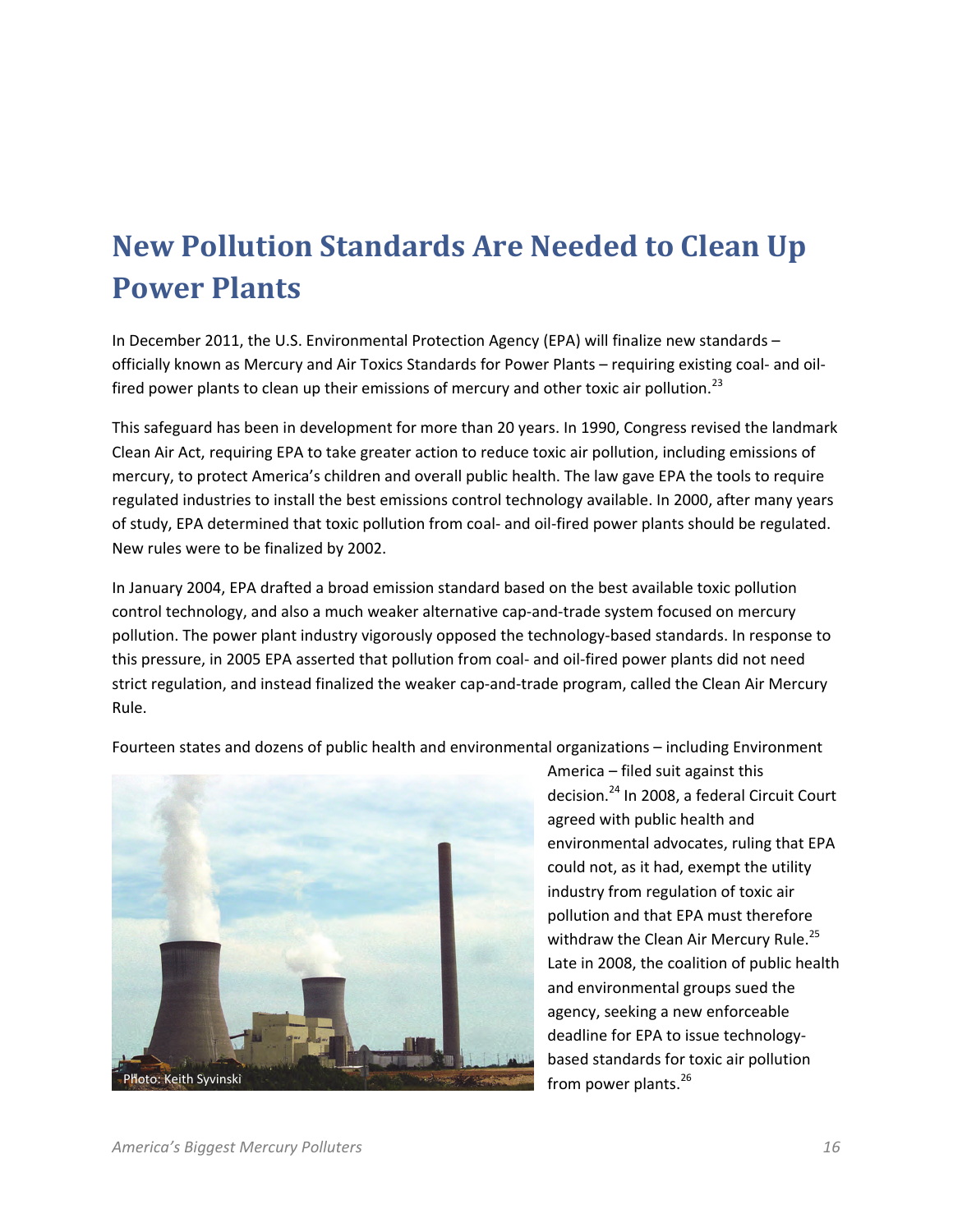# **New Pollution Standards Are Needed to Clean Up Power Plants**

In December 2011, the U.S. Environmental Protection Agency (EPA) will finalize new standards – officially known as Mercury and Air Toxics Standards for Power Plants – requiring existing coal- and oilfired power plants to clean up their emissions of mercury and other toxic air pollution.<sup>23</sup>

This safeguard has been in development for more than 20 years. In 1990, Congress revised the landmark Clean Air Act, requiring EPA to take greater action to reduce toxic air pollution, including emissions of mercury, to protect America's children and overall public health. The law gave EPA the tools to require regulated industries to install the best emissions control technology available. In 2000, after many years of study, EPA determined that toxic pollution from coal- and oil-fired power plants should be regulated. New rules were to be finalized by 2002.

In January 2004, EPA drafted a broad emission standard based on the best available toxic pollution control technology, and also a much weaker alternative cap-and-trade system focused on mercury pollution. The power plant industry vigorously opposed the technology-based standards. In response to this pressure, in 2005 EPA asserted that pollution from coal- and oil-fired power plants did not need strict regulation, and instead finalized the weaker cap-and-trade program, called the Clean Air Mercury Rule.

Fourteen states and dozens of public health and environmental organizations – including Environment



America – filed suit against this decision.24 In 2008, a federal Circuit Court agreed with public health and environmental advocates, ruling that EPA could not, as it had, exempt the utility industry from regulation of toxic air pollution and that EPA must therefore withdraw the Clean Air Mercury Rule.<sup>25</sup> Late in 2008, the coalition of public health and environmental groups sued the agency, seeking a new enforceable deadline for EPA to issue technologybased standards for toxic air pollution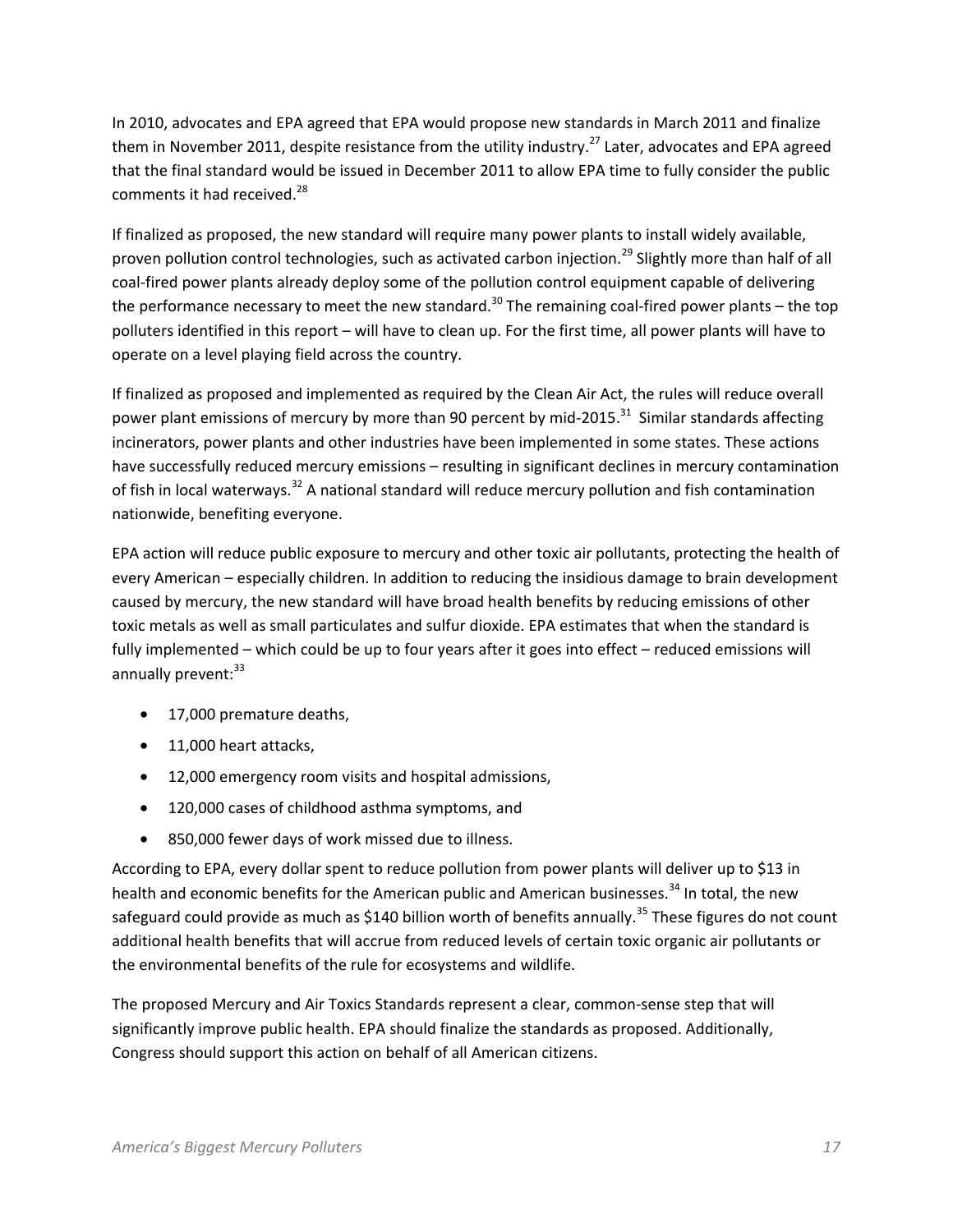In 2010, advocates and EPA agreed that EPA would propose new standards in March 2011 and finalize them in November 2011, despite resistance from the utility industry.<sup>27</sup> Later, advocates and EPA agreed that the final standard would be issued in December 2011 to allow EPA time to fully consider the public comments it had received.<sup>28</sup>

If finalized as proposed, the new standard will require many power plants to install widely available, proven pollution control technologies, such as activated carbon injection.<sup>29</sup> Slightly more than half of all coal-fired power plants already deploy some of the pollution control equipment capable of delivering the performance necessary to meet the new standard.<sup>30</sup> The remaining coal-fired power plants – the top polluters identified in this report – will have to clean up. For the first time, all power plants will have to operate on a level playing field across the country.

If finalized as proposed and implemented as required by the Clean Air Act, the rules will reduce overall power plant emissions of mercury by more than 90 percent by mid-2015.<sup>31</sup> Similar standards affecting incinerators, power plants and other industries have been implemented in some states. These actions have successfully reduced mercury emissions – resulting in significant declines in mercury contamination of fish in local waterways.<sup>32</sup> A national standard will reduce mercury pollution and fish contamination nationwide, benefiting everyone.

EPA action will reduce public exposure to mercury and other toxic air pollutants, protecting the health of every American – especially children. In addition to reducing the insidious damage to brain development caused by mercury, the new standard will have broad health benefits by reducing emissions of other toxic metals as well as small particulates and sulfur dioxide. EPA estimates that when the standard is fully implemented – which could be up to four years after it goes into effect – reduced emissions will annually prevent: $33$ 

- 17,000 premature deaths,
- 11,000 heart attacks,
- 12,000 emergency room visits and hospital admissions,
- 120,000 cases of childhood asthma symptoms, and
- 850,000 fewer days of work missed due to illness.

According to EPA, every dollar spent to reduce pollution from power plants will deliver up to \$13 in health and economic benefits for the American public and American businesses.<sup>34</sup> In total, the new safeguard could provide as much as \$140 billion worth of benefits annually.<sup>35</sup> These figures do not count additional health benefits that will accrue from reduced levels of certain toxic organic air pollutants or the environmental benefits of the rule for ecosystems and wildlife.

The proposed Mercury and Air Toxics Standards represent a clear, common-sense step that will significantly improve public health. EPA should finalize the standards as proposed. Additionally, Congress should support this action on behalf of all American citizens.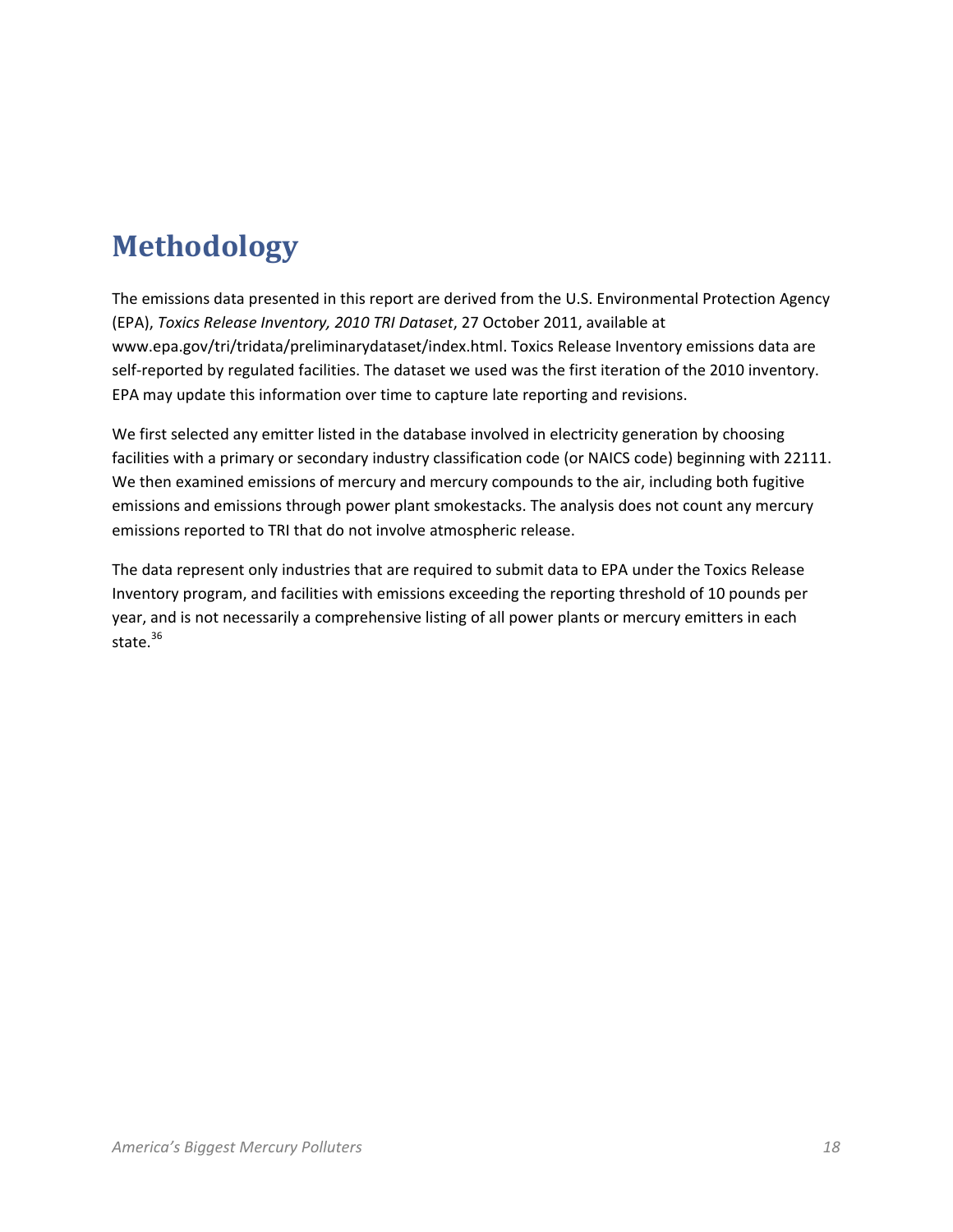# **Methodology**

The emissions data presented in this report are derived from the U.S. Environmental Protection Agency (EPA), *Toxics Release Inventory, 2010 TRI Dataset*, 27 October 2011, available at www.epa.gov/tri/tridata/preliminarydataset/index.html. Toxics Release Inventory emissions data are self-reported by regulated facilities. The dataset we used was the first iteration of the 2010 inventory. EPA may update this information over time to capture late reporting and revisions.

We first selected any emitter listed in the database involved in electricity generation by choosing facilities with a primary or secondary industry classification code (or NAICS code) beginning with 22111. We then examined emissions of mercury and mercury compounds to the air, including both fugitive emissions and emissions through power plant smokestacks. The analysis does not count any mercury emissions reported to TRI that do not involve atmospheric release.

The data represent only industries that are required to submit data to EPA under the Toxics Release Inventory program, and facilities with emissions exceeding the reporting threshold of 10 pounds per year, and is not necessarily a comprehensive listing of all power plants or mercury emitters in each state.<sup>36</sup>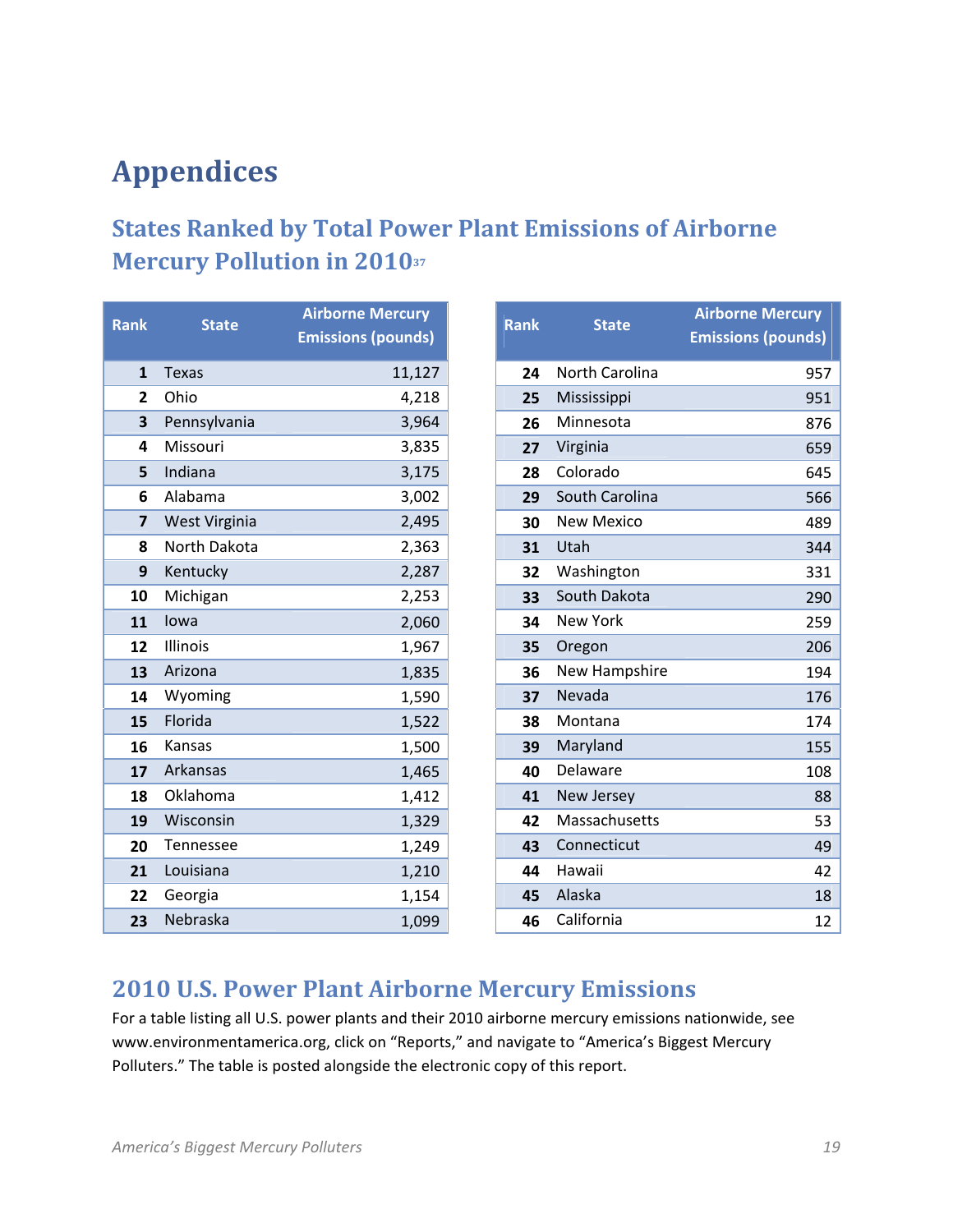# **Appendices**

## **States Ranked by Total Power Plant Emissions of Airborne Mercury Pollution in 201037**

| Rank             | <b>State</b>     | <b>Airborne Mercury</b><br><b>Emissions (pounds)</b> |
|------------------|------------------|------------------------------------------------------|
| $\mathbf{1}$     | <b>Texas</b>     | 11,127                                               |
| 2                | Ohio             | 4,218                                                |
| 3                | Pennsylvania     | 3,964                                                |
| 4                | Missouri         | 3,835                                                |
| 5                | Indiana          | 3,175                                                |
| 6                | Alabama          | 3,002                                                |
| $\overline{7}$   | West Virginia    | 2,495                                                |
| 8                | North Dakota     | 2,363                                                |
| 9                | Kentucky         | 2,287                                                |
| 10               | Michigan         | 2,253                                                |
| 11               | lowa             | 2,060                                                |
| 12 <sup>12</sup> | Illinois         | 1,967                                                |
| 13               | Arizona          | 1,835                                                |
| 14               | Wyoming          | 1,590                                                |
| 15               | Florida          | 1,522                                                |
| 16               | Kansas           | 1,500                                                |
| 17               | <b>Arkansas</b>  | 1,465                                                |
| 18               | Oklahoma         | 1,412                                                |
| 19               | Wisconsin        | 1,329                                                |
| 20               | <b>Tennessee</b> | 1,249                                                |
| 21               | Louisiana        | 1,210                                                |
| 22               | Georgia          | 1,154                                                |
| 23               | Nebraska         | 1,099                                                |

| <b>Rank</b> | <b>State</b>    | <b>Airborne Mercury</b><br><b>Emissions (pounds)</b> |
|-------------|-----------------|------------------------------------------------------|
| 24          | North Carolina  | 957                                                  |
| 25          | Mississippi     | 951                                                  |
| 26          | Minnesota       | 876                                                  |
| 27          | Virginia        | 659                                                  |
| 28          | Colorado        | 645                                                  |
| 29          | South Carolina  | 566                                                  |
| 30          | New Mexico      | 489                                                  |
| 31          | Utah            | 344                                                  |
| 32          | Washington      | 331                                                  |
| 33          | South Dakota    | 290                                                  |
| 34          | <b>New York</b> | 259                                                  |
| 35          | Oregon          | 206                                                  |
| 36          | New Hampshire   | 194                                                  |
| 37          | Nevada          | 176                                                  |
| 38          | Montana         | 174                                                  |
| 39          | Maryland        | 155                                                  |
| 40          | Delaware        | 108                                                  |
| 41          | New Jersey      | 88                                                   |
| 42          | Massachusetts   | 53                                                   |
| 43          | Connecticut     | 49                                                   |
| 44          | Hawaii          | 42                                                   |
| 45          | Alaska          | 18                                                   |
| 46          | California      | 12                                                   |

## **2010 U.S. Power Plant Airborne Mercury Emissions**

For a table listing all U.S. power plants and their 2010 airborne mercury emissions nationwide, see www.environmentamerica.org, click on "Reports," and navigate to "America's Biggest Mercury Polluters." The table is posted alongside the electronic copy of this report.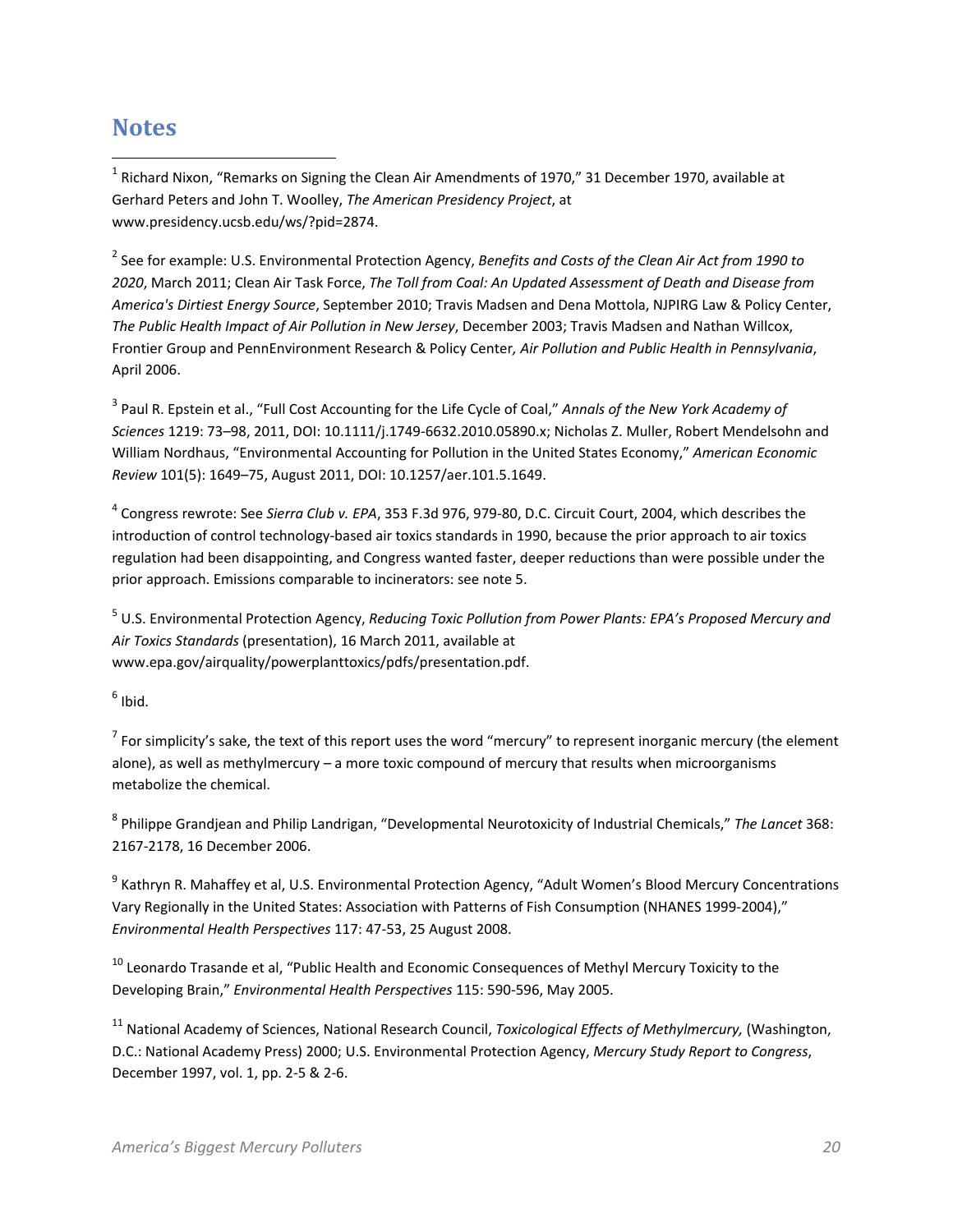## **Notes**

 $\overline{\phantom{a}}$ 

<sup>1</sup> Richard Nixon, "Remarks on Signing the Clean Air Amendments of 1970," 31 December 1970, available at Gerhard Peters and John T. Woolley, *The American Presidency Project*, at www.presidency.ucsb.edu/ws/?pid=2874.

2 See for example: U.S. Environmental Protection Agency, *Benefits and Costs of the Clean Air Act from 1990 to 2020*, March 2011; Clean Air Task Force, *The Toll from Coal: An Updated Assessment of Death and Disease from America's Dirtiest Energy Source*, September 2010; Travis Madsen and Dena Mottola, NJPIRG Law & Policy Center, *The Public Health Impact of Air Pollution in New Jersey*, December 2003; Travis Madsen and Nathan Willcox, Frontier Group and PennEnvironment Research & Policy Center*, Air Pollution and Public Health in Pennsylvania*, April 2006.

3 Paul R. Epstein et al., "Full Cost Accounting for the Life Cycle of Coal," *Annals of the New York Academy of Sciences* 1219: 73–98, 2011, DOI: 10.1111/j.1749-6632.2010.05890.x; Nicholas Z. Muller, Robert Mendelsohn and William Nordhaus, "Environmental Accounting for Pollution in the United States Economy," *American Economic Review* 101(5): 1649–75, August 2011, DOI: 10.1257/aer.101.5.1649.

4 Congress rewrote: See *Sierra Club v. EPA*, 353 F.3d 976, 979-80, D.C. Circuit Court, 2004, which describes the introduction of control technology-based air toxics standards in 1990, because the prior approach to air toxics regulation had been disappointing, and Congress wanted faster, deeper reductions than were possible under the prior approach. Emissions comparable to incinerators: see note 5.

5 U.S. Environmental Protection Agency, *Reducing Toxic Pollution from Power Plants: EPA's Proposed Mercury and Air Toxics Standards* (presentation), 16 March 2011, available at www.epa.gov/airquality/powerplanttoxics/pdfs/presentation.pdf.

 $^6$  Ibid.

 $^7$  For simplicity's sake, the text of this report uses the word "mercury" to represent inorganic mercury (the element alone), as well as methylmercury – a more toxic compound of mercury that results when microorganisms metabolize the chemical.

8 Philippe Grandjean and Philip Landrigan, "Developmental Neurotoxicity of Industrial Chemicals," *The Lancet* 368: 2167-2178, 16 December 2006.

<sup>9</sup> Kathryn R. Mahaffey et al, U.S. Environmental Protection Agency, "Adult Women's Blood Mercury Concentrations Vary Regionally in the United States: Association with Patterns of Fish Consumption (NHANES 1999-2004)," *Environmental Health Perspectives* 117: 47-53, 25 August 2008.

<sup>10</sup> Leonardo Trasande et al, "Public Health and Economic Consequences of Methyl Mercury Toxicity to the Developing Brain," *Environmental Health Perspectives* 115: 590-596, May 2005.

11 National Academy of Sciences, National Research Council, *Toxicological Effects of Methylmercury,* (Washington, D.C.: National Academy Press) 2000; U.S. Environmental Protection Agency, *Mercury Study Report to Congress*, December 1997, vol. 1, pp. 2-5 & 2-6.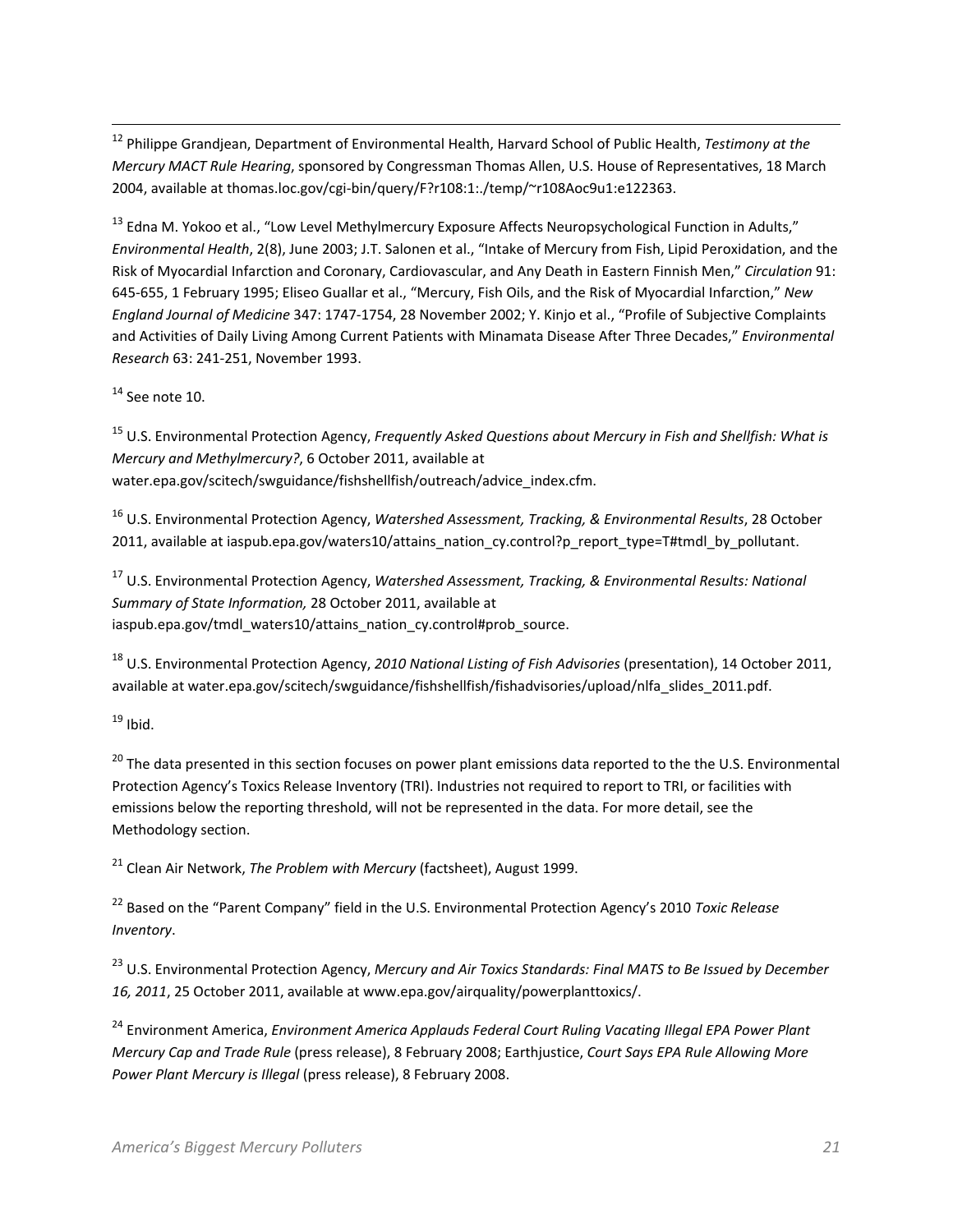12 Philippe Grandjean, Department of Environmental Health, Harvard School of Public Health, *Testimony at the Mercury MACT Rule Hearing*, sponsored by Congressman Thomas Allen, U.S. House of Representatives, 18 March 2004, available at thomas.loc.gov/cgi-bin/query/F?r108:1:./temp/~r108Aoc9u1:e122363.

<sup>13</sup> Edna M. Yokoo et al., "Low Level Methylmercury Exposure Affects Neuropsychological Function in Adults," *Environmental Health*, 2(8), June 2003; J.T. Salonen et al., "Intake of Mercury from Fish, Lipid Peroxidation, and the Risk of Myocardial Infarction and Coronary, Cardiovascular, and Any Death in Eastern Finnish Men," *Circulation* 91: 645-655, 1 February 1995; Eliseo Guallar et al., "Mercury, Fish Oils, and the Risk of Myocardial Infarction," *New England Journal of Medicine* 347: 1747-1754, 28 November 2002; Y. Kinjo et al., "Profile of Subjective Complaints and Activities of Daily Living Among Current Patients with Minamata Disease After Three Decades," *Environmental Research* 63: 241-251, November 1993.

 $14$  See note 10.

 $\overline{a}$ 

15 U.S. Environmental Protection Agency, *Frequently Asked Questions about Mercury in Fish and Shellfish: What is Mercury and Methylmercury?*, 6 October 2011, available at water.epa.gov/scitech/swguidance/fishshellfish/outreach/advice\_index.cfm.

16 U.S. Environmental Protection Agency, *Watershed Assessment, Tracking, & Environmental Results*, 28 October 2011, available at iaspub.epa.gov/waters10/attains\_nation\_cy.control?p\_report\_type=T#tmdl\_by\_pollutant.

17 U.S. Environmental Protection Agency, *Watershed Assessment, Tracking, & Environmental Results: National Summary of State Information,* 28 October 2011, available at iaspub.epa.gov/tmdl\_waters10/attains\_nation\_cy.control#prob\_source.

18 U.S. Environmental Protection Agency, *2010 National Listing of Fish Advisories* (presentation), 14 October 2011, available at water.epa.gov/scitech/swguidance/fishshellfish/fishadvisories/upload/nlfa\_slides\_2011.pdf.

 $19$  Ibid.

<sup>20</sup> The data presented in this section focuses on power plant emissions data reported to the the U.S. Environmental Protection Agency's Toxics Release Inventory (TRI). Industries not required to report to TRI, or facilities with emissions below the reporting threshold, will not be represented in the data. For more detail, see the Methodology section.

21 Clean Air Network, *The Problem with Mercury* (factsheet), August 1999.

22 Based on the "Parent Company" field in the U.S. Environmental Protection Agency's 2010 *Toxic Release Inventory*.

23 U.S. Environmental Protection Agency, *Mercury and Air Toxics Standards: Final MATS to Be Issued by December 16, 2011*, 25 October 2011, available at www.epa.gov/airquality/powerplanttoxics/.

24 Environment America, *Environment America Applauds Federal Court Ruling Vacating Illegal EPA Power Plant Mercury Cap and Trade Rule* (press release), 8 February 2008; Earthjustice, *Court Says EPA Rule Allowing More Power Plant Mercury is Illegal* (press release), 8 February 2008.